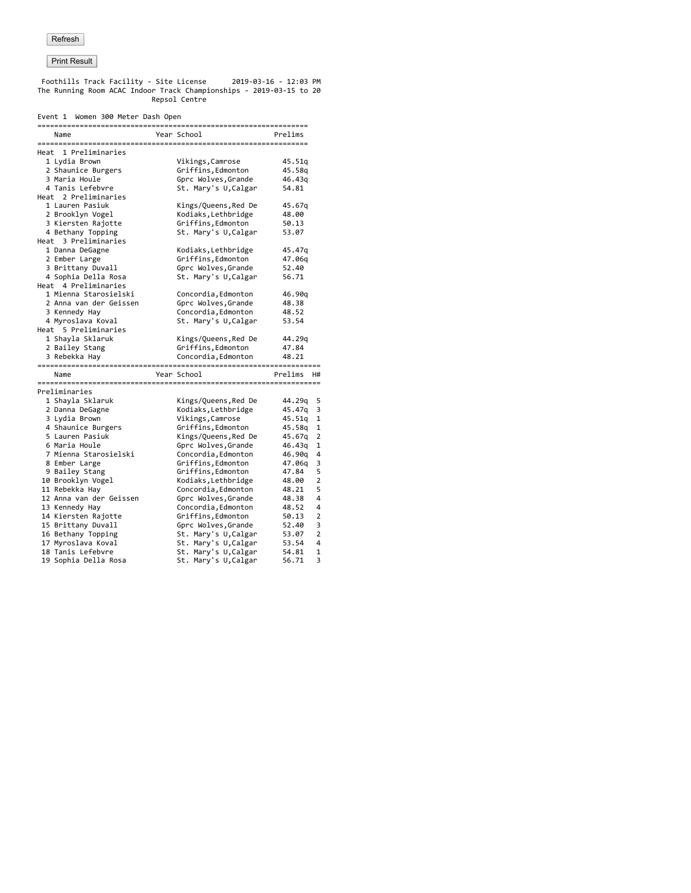Foothills Track Facility - Site License 2019-03-16 - 12:03 PM The Running Room ACAC Indoor Track Championships - 2019-03-15 to 20 Repsol Centre

#### Event 1 Women 300 Meter Dash Open

|                                         | Year School                                  | Prelims        |
|-----------------------------------------|----------------------------------------------|----------------|
| Name                                    |                                              |                |
| Heat 1 Preliminaries                    |                                              |                |
| 1 Lydia Brown                           | Vikings, Camrose                             | 45.51q         |
| 2 Shaunice Burgers                      | Griffins, Edmonton                           | 45.58q         |
| 3 Maria Houle                           | Gprc Wolves, Grande                          | 46.43q         |
| 4 Tanis Lefebvre                        | St. Mary's U, Calgar                         | 54.81          |
| Heat 2 Preliminaries                    |                                              |                |
| 1 Lauren Pasiuk                         | Kings/Queens,Red De                          | 45.67q         |
| 2 Brooklyn Vogel                        | Kodiaks, Lethbridge                          | 48.00          |
| 3 Kiersten Rajotte                      | Griffins, Edmonton                           | 50.13          |
| 4 Bethany Topping                       | St. Mary's U, Calgar                         | 53.07          |
| Heat 3 Preliminaries                    |                                              |                |
| 1 Danna DeGagne                         | Kodiaks, Lethbridge                          | 45.47q         |
| 2 Ember Large                           | Griffins, Edmonton                           | 47.06q         |
| 3 Brittany Duvall                       | Gprc Wolves, Grande                          | 52.40          |
| 4 Sophia Della Rosa                     | St. Mary's U, Calgar                         | 56.71          |
| Heat 4 Preliminaries                    |                                              |                |
| 1 Mienna Starosielski                   | Concordia, Edmonton                          | 46.90q         |
| 2 Anna van der Geissen                  | Gprc Wolves, Grande                          | 48.38          |
| 3 Kennedy Hay                           | Concordia, Edmonton                          | 48.52          |
| 4 Myroslava Koval                       | St. Mary's U, Calgar                         | 53.54          |
| Heat 5 Preliminaries                    |                                              |                |
| 1 Shayla Sklaruk                        | Kings/Queens,Red De                          | 44.29q         |
| 2 Bailey Stang                          | Griffins, Edmonton                           | 47.84          |
| 3 Rebekka Hay                           | Concordia, Edmonton                          | 48.21          |
| Name                                    |                                              |                |
|                                         | Year School                                  | Prelims<br>H#  |
|                                         |                                              |                |
| Preliminaries                           |                                              |                |
| 1 Shayla Sklaruk                        | Kings/Queens,Red De                          | 44.29q         |
| 2 Danna DeGagne                         | Kodiaks, Lethbridge                          | 45.47q         |
| 3 Lydia Brown                           | Vikings, Camrose                             | 45.51q         |
| 4 Shaunice Burgers                      | Griffins, Edmonton                           | 45.58q         |
| 5 Lauren Pasiuk                         | Kings/Queens,Red De                          | 45.67q         |
| 6 Maria Houle                           | Gprc Wolves, Grande                          | 46.43q         |
| 7 Mienna Starosielski                   | Concordia, Edmonton                          | 46.90q         |
| 8 Ember Large                           | Griffins, Edmonton                           | 47.06q         |
| 9 Bailey Stang                          | Griffins, Edmonton                           | 47.84          |
| 10 Brooklyn Vogel                       | Kodiaks, Lethbridge                          | 48.00          |
| 11 Rebekka Hay                          | Concordia, Edmonton                          | 48.21          |
| 12 Anna van der Geissen                 | Gprc Wolves, Grande                          | 48.38          |
| 13 Kennedy Hay                          | Concordia, Edmonton                          | 48.52          |
| 14 Kiersten Rajotte                     | Griffins, Edmonton                           | 50.13          |
| 15 Brittany Duvall                      | Gprc Wolves, Grande                          | 52.40          |
| 16 Bethany Topping                      | St. Mary's U, Calgar                         | 53.07          |
| 17 Myroslava Koval<br>18 Tanis Lefebvre | St. Mary's U, Calgar<br>St. Mary's U, Calgar | 53.54<br>54.81 |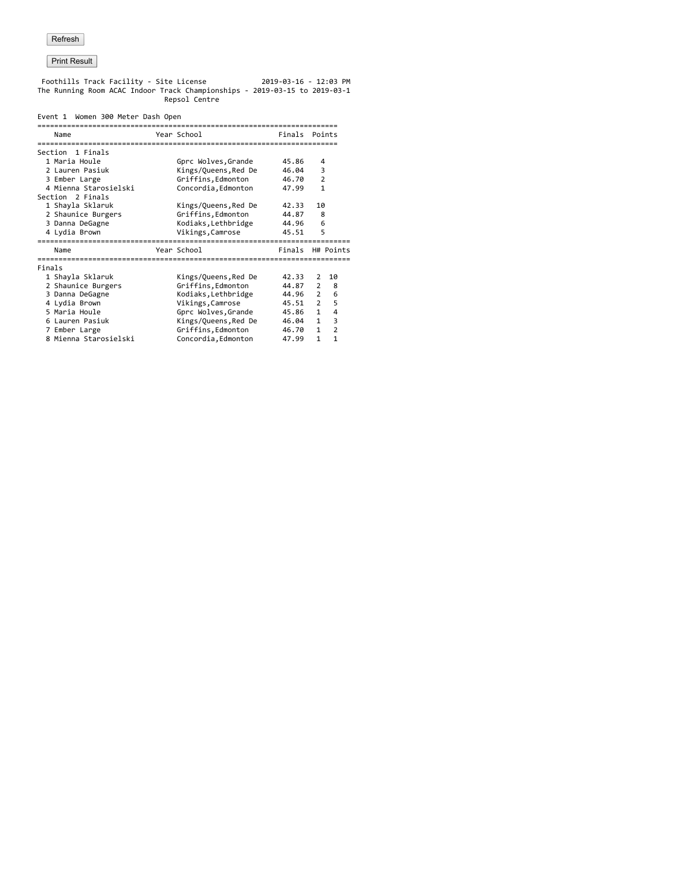Foothills Track Facility - Site License 2019-03-16 - 12:03 PM The Running Room ACAC Indoor Track Championships - 2019-03-15 to 2019-03-1 Repsol Centre

#### Event 1 Women 300 Meter Dash Open

|        | Name                  | Year School          | Finals |                | Points         |
|--------|-----------------------|----------------------|--------|----------------|----------------|
|        | Section 1 Finals      |                      |        |                |                |
|        | 1 Maria Houle         | Gprc Wolves, Grande  | 45.86  | 4              |                |
|        | 2 Lauren Pasiuk       | Kings/Queens, Red De | 46.04  | 3              |                |
|        | 3 Ember Large         | Griffins, Edmonton   | 46.70  | 2              |                |
|        | 4 Mienna Starosielski | Concordia, Edmonton  | 47.99  | $\mathbf{1}$   |                |
|        | Section 2 Finals      |                      |        |                |                |
|        | 1 Shayla Sklaruk      | Kings/Queens, Red De | 42.33  | 10             |                |
|        | 2 Shaunice Burgers    | Griffins, Edmonton   | 44.87  | 8              |                |
|        | 3 Danna DeGagne       | Kodiaks, Lethbridge  | 44.96  | 6              |                |
|        | 4 Lydia Brown         | Vikings, Camrose     | 45.51  | 5              |                |
|        |                       |                      |        |                |                |
|        | Name                  | Year School          | Finals |                | H# Points      |
| Finals |                       |                      |        |                |                |
|        | 1 Shayla Sklaruk      | Kings/Queens, Red De | 42.33  | $\overline{2}$ | 10             |
|        | 2 Shaunice Burgers    | Griffins, Edmonton   | 44.87  | 2              | 8              |
|        | 3 Danna DeGagne       | Kodiaks, Lethbridge  | 44.96  | $\overline{2}$ | 6              |
|        | 4 Lydia Brown         | Vikings, Camrose     | 45.51  | $\overline{2}$ | 5              |
|        | 5 Maria Houle         | Gprc Wolves, Grande  | 45.86  | $\mathbf{1}$   | 4              |
|        | 6 Lauren Pasiuk       | Kings/Queens, Red De | 46.04  | $\mathbf{1}$   | 3              |
|        | 7 Ember Large         | Griffins, Edmonton   | 46.70  | $\mathbf{1}$   | $\overline{2}$ |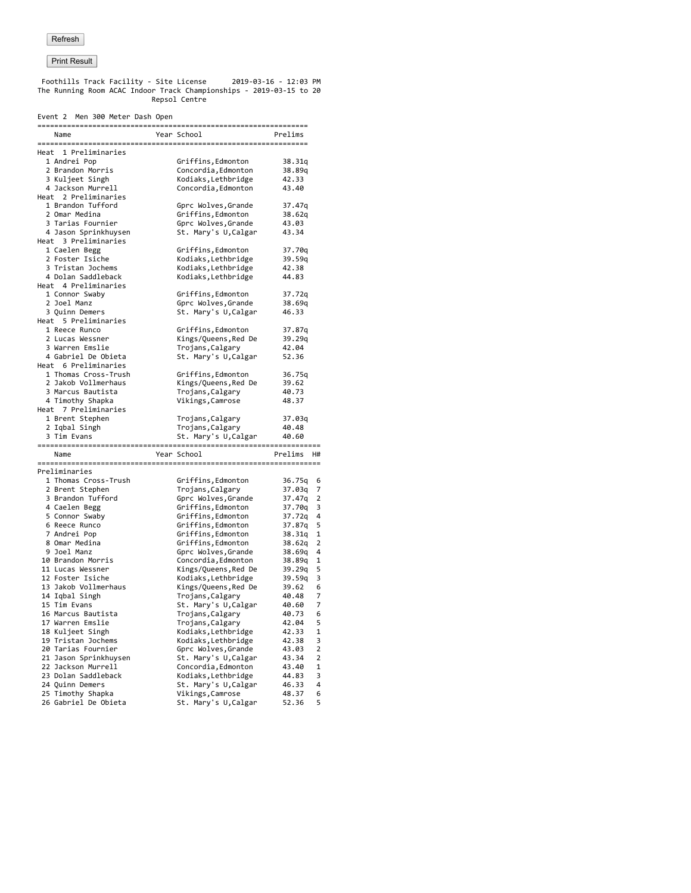Foothills Track Facility - Site License 2019-03-16 - 12:03 PM The Running Room ACAC Indoor Track Championships - 2019-03-15 to 20 Repsol Centre

| Event 2 Men 300 Meter Dash Open             |                                            |                  |
|---------------------------------------------|--------------------------------------------|------------------|
| Name                                        | Year School                                | Prelims          |
| Heat 1 Preliminaries                        |                                            |                  |
| 1 Andrei Pop                                | Griffins,Edmonton                          | 38.31q           |
| 2 Brandon Morris                            | Concordia, Edmonton                        | 38.89q           |
| 3 Kuljeet Singh                             | Kodiaks, Lethbridge                        | 42.33            |
| 4 Jackson Murrell                           | Concordia, Edmonton                        | 43.40            |
| Heat 2 Preliminaries                        |                                            |                  |
| 1 Brandon Tufford                           | Gprc Wolves, Grande                        | 37.47q           |
| 2 Omar Medina                               | Griffins, Edmonton                         | 38.62q           |
| 3 Tarias Fournier                           | Gprc Wolves, Grande                        | 43.03            |
| 4 Jason Sprinkhuysen                        | St. Mary's U, Calgar                       | 43.34            |
| Heat 3 Preliminaries                        |                                            |                  |
| 1 Caelen Begg                               | Griffins, Edmonton                         | 37.70q           |
| 2 Foster Isiche                             | Kodiaks, Lethbridge                        | 39.59q           |
| 3 Tristan Jochems                           | Kodiaks, Lethbridge                        | 42.38            |
| 4 Dolan Saddleback                          | Kodiaks, Lethbridge                        | 44.83            |
| Heat 4 Preliminaries                        |                                            |                  |
| 1 Connor Swaby                              | Griffins, Edmonton                         | 37.72q           |
| 2 Joel Manz                                 | Gprc Wolves, Grande                        | 38.69q           |
| 3 Quinn Demers                              | St. Mary's U, Calgar                       | 46.33            |
| Heat 5 Preliminaries                        |                                            |                  |
| 1 Reece Runco                               | Griffins,Edmonton                          | 37.87q           |
| 2 Lucas Wessner                             | Kings/Queens,Red De                        | 39.29q           |
| 3 Warren Emslie                             | Trojans, Calgary                           | 42.04            |
| 4 Gabriel De Obieta<br>Heat 6 Preliminaries | St. Mary's U, Calgar                       | 52.36            |
|                                             |                                            |                  |
| 1 Thomas Cross-Trush<br>2 Jakob Vollmerhaus | Griffins, Edmonton<br>Kings/Queens, Red De | 36.75q           |
| 3 Marcus Bautista                           |                                            | 39.62<br>40.73   |
| 4 Timothy Shapka                            | Trojans, Calgary<br>Vikings, Camrose       | 48.37            |
| Heat 7 Preliminaries                        |                                            |                  |
| 1 Brent Stephen                             | Trojans, Calgary                           | 37.03q           |
| 2 Iqbal Singh                               | Trojans,Calgary                            | 40.48            |
| 3 Tim Evans                                 | St. Mary's U,Calgar                        | 40.60            |
|                                             |                                            |                  |
| Name                                        | Year School                                | Prelims<br>H#    |
|                                             |                                            |                  |
| Preliminaries                               |                                            |                  |
| 1 Thomas Cross-Trush                        | Griffins,Edmonton                          | 36.75q           |
| 2 Brent Stephen<br>3 Brandon Tufford        | Trojans, Calgary<br>Gprc Wolves, Grande    | 37.03q<br>37.47q |
| 4 Caelen Begg                               | Griffins, Edmonton                         | 37.70q           |
| 5 Connor Swaby                              | Griffins, Edmonton                         | 37.72q           |
| 6 Reece Runco                               | Griffins, Edmonton                         | 37.87q           |
| 7 Andrei Pop                                | Griffins, Edmonton                         | 38.31q           |
| 8 Omar Medina                               | Griffins, Edmonton                         | 38.62q           |
| 9 Joel Manz                                 | Gprc Wolves, Grande                        | 38.69g           |
| 10 Brandon Morris                           | Concordia, Edmonton                        | 38.89q           |
| 11 Lucas Wessner                            | Kings/Queens,Red De                        | 39.29q           |
| 12 Foster Isiche                            | Kodiaks, Lethbridge                        | 39.59q           |
| 13 Jakob Vollmerhaus                        | Kings/Queens,Red De                        | 39.62            |
| 14 Iqbal Singh                              | Trojans, Calgary                           | 40.48            |
| 15 Tim Evans                                | St. Mary's U,Calgar                        | 40.60            |
| 16 Marcus Bautista                          | Trojans,Calgary                            | 40.73            |
| 17 Warren Emslie                            | Trojans,Calgary                            | 42.04            |
| 18 Kuljeet Singh                            | Kodiaks,Lethbridge                         | 42.33            |
| 19 Tristan Jochems                          | Kodiaks, Lethbridge                        | 42.38            |
| 20 Tarias Fournier                          | Gprc Wolves, Grande                        | 43.03            |
| 21 Jason Sprinkhuysen                       | St. Mary's U, Calgar                       | 43.34            |
| 22 Jackson Murrell                          | Concordia, Edmonton                        | 43.40            |
| 23 Dolan Saddleback                         | Kodiaks, Lethbridge                        | 44.83            |
| 24 Quinn Demers                             | St. Mary's U, Calgar                       | 46.33            |
| 25 Timothy Shapka                           | Vikings, Camrose                           | 48.37            |
| 26 Gabriel De Obieta                        | St. Mary's U, Calgar                       | 52.36            |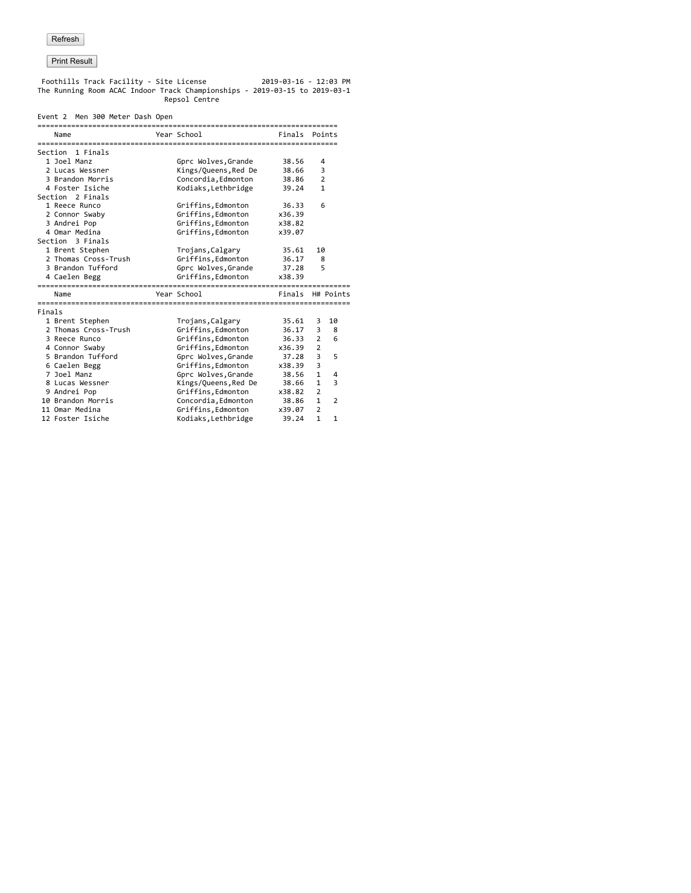Foothills Track Facility - Site License 2019-03-16 - 12:03 PM The Running Room ACAC Indoor Track Championships - 2019-03-15 to 2019-03-1 Repsol Centre

#### Event 2 Men 300 Meter Dash Open

|        | Name                               | Year School                               | Finals Points    |                                |                |
|--------|------------------------------------|-------------------------------------------|------------------|--------------------------------|----------------|
|        | Section 1 Finals                   |                                           |                  |                                |                |
|        | 1 Joel Manz                        | Gprc Wolves, Grande                       | 38.56            | 4                              |                |
|        | 2 Lucas Wessner                    | Kings/Queens, Red De                      | 38.66            | 3                              |                |
|        | 3 Brandon Morris                   | Concordia, Edmonton                       | 38.86            | 2                              |                |
|        | 4 Foster Isiche                    | Kodiaks, Lethbridge                       | 39.24            | $\mathbf{1}$                   |                |
|        | Section 2 Finals                   |                                           |                  |                                |                |
|        | 1 Reece Runco                      | Griffins, Edmonton                        | 36.33            | 6                              |                |
|        | 2 Connor Swaby                     | Griffins, Edmonton                        | x36.39           |                                |                |
|        | 3 Andrei Pop                       | Griffins, Edmonton                        | x38.82           |                                |                |
|        | 4 Omar Medina                      | Griffins, Edmonton                        | x39.07           |                                |                |
|        | Section 3 Finals                   |                                           |                  |                                |                |
|        | 1 Brent Stephen                    | Trojans, Calgary                          | 35.61            | 10                             |                |
|        | 2 Thomas Cross-Trush               | Griffins, Edmonton                        | 36.17            | 8                              |                |
|        | 3 Brandon Tufford                  | Gprc Wolves, Grande                       | 37.28            | 5                              |                |
|        | 4 Caelen Begg                      | Griffins, Edmonton                        | x38.39           |                                |                |
|        |                                    |                                           |                  |                                |                |
|        |                                    |                                           |                  |                                |                |
|        | Name                               | Year School                               | Finals H# Points |                                |                |
|        |                                    |                                           |                  |                                |                |
| Finals |                                    |                                           |                  |                                |                |
|        | 1 Brent Stephen                    | Trojans, Calgary                          | 35.61            | 3.                             | 10             |
|        | 2 Thomas Cross-Trush               | Griffins, Edmonton                        | 36.17            | 3                              | 8              |
|        | 3 Reece Runco                      | Griffins, Edmonton                        | 36.33            | $\overline{2}$                 | 6              |
|        | 4 Connor Swaby                     | Griffins, Edmonton                        | x36.39           | $\overline{2}$                 |                |
|        | 5 Brandon Tufford                  | Gprc Wolves, Grande                       | 37.28            | 3                              | 5              |
|        | 6 Caelen Begg                      | Griffins, Edmonton                        | x38.39           | 3                              |                |
|        | 7 Joel Manz                        | Gprc Wolves, Grande                       | 38.56            | $\mathbf{1}$                   | 4              |
|        | 8 Lucas Wessner                    | Kings/Queens, Red De                      | 38.66            | 1                              | 3              |
|        | 9 Andrei Pop                       | Griffins, Edmonton                        | x38.82           | $\overline{2}$                 |                |
|        | 10 Brandon Morris                  | Concordia, Edmonton                       | 38.86            | $\mathbf{1}$                   | $\overline{2}$ |
|        | 11 Omar Medina<br>12 Foster Isiche | Griffins, Edmonton<br>Kodiaks, Lethbridge | x39.07<br>39.24  | $\overline{2}$<br>$\mathbf{1}$ | $\mathbf{1}$   |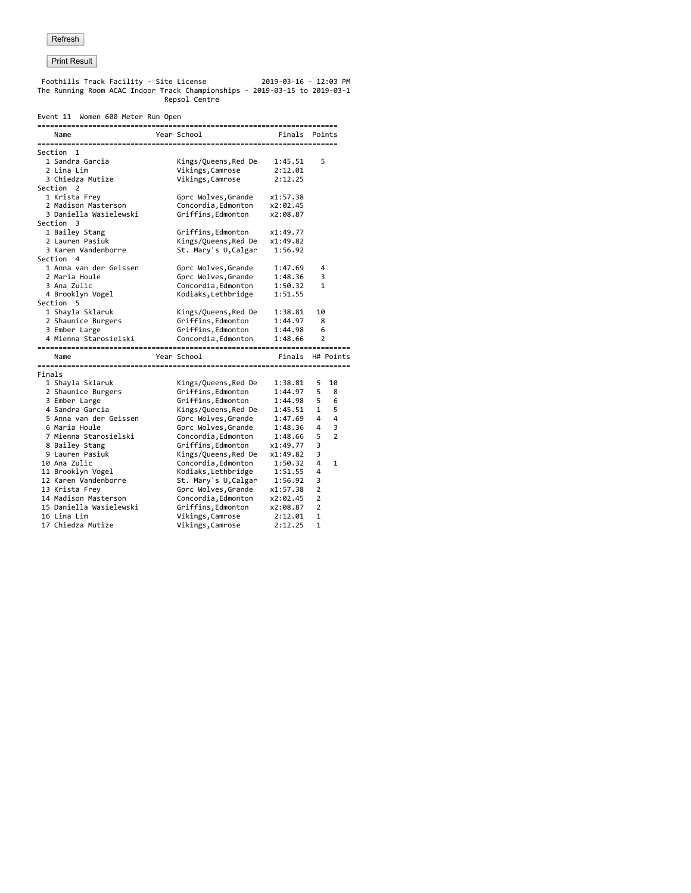Foothills Track Facility - Site License 2019-03-16 - 12:03 PM The Running Room ACAC Indoor Track Championships - 2019-03-15 to 2019-03-1 Repsol Centre

#### Event 11 Women 600 Meter Run Open

|        | Name                    | Year School          | Finals Points |                |                |
|--------|-------------------------|----------------------|---------------|----------------|----------------|
|        | Section 1               |                      |               |                |                |
|        | 1 Sandra Garcia         | Kings/Queens, Red De | 1:45.51       | 5              |                |
|        | 2 Lina Lim              | Vikings, Camrose     | 2:12.01       |                |                |
|        | 3 Chiedza Mutize        | Vikings, Camrose     | 2:12.25       |                |                |
|        | Section 2               |                      |               |                |                |
|        | 1 Krista Frey           | Gprc Wolves, Grande  | x1:57.38      |                |                |
|        | 2 Madison Masterson     | Concordia, Edmonton  | x2:02.45      |                |                |
|        | 3 Daniella Wasielewski  | Griffins, Edmonton   | x2:08.87      |                |                |
|        | Section 3               |                      |               |                |                |
|        | 1 Bailey Stang          | Griffins,Edmonton    | x1:49.77      |                |                |
|        | 2 Lauren Pasiuk         | Kings/Queens, Red De | x1:49.82      |                |                |
|        | 3 Karen Vandenborre     | St. Mary's U, Calgar | 1:56.92       |                |                |
|        | Section 4               |                      |               |                |                |
|        | 1 Anna van der Geissen  | Gprc Wolves, Grande  | 1:47.69       | 4              |                |
|        | 2 Maria Houle           | Gprc Wolves, Grande  | 1:48.36       | 3              |                |
|        | 3 Ana Zulic             | Concordia, Edmonton  | 1:50.32       | 1              |                |
|        | 4 Brooklyn Vogel        | Kodiaks, Lethbridge  | 1:51.55       |                |                |
|        | Section 5               |                      |               |                |                |
|        | 1 Shayla Sklaruk        | Kings/Queens, Red De | 1:38.81       | 10             |                |
|        | 2 Shaunice Burgers      | Griffins, Edmonton   | 1:44.97       | 8              |                |
|        | 3 Ember Large           | Griffins, Edmonton   | 1:44.98       | 6              |                |
|        | 4 Mienna Starosielski   | Concordia, Edmonton  | 1:48.66       | $\overline{2}$ |                |
|        |                         |                      |               |                |                |
|        | Name                    | Year School          | Finals        |                | H# Points      |
| Finals |                         |                      |               |                |                |
|        | 1 Shayla Sklaruk        | Kings/Queens, Red De | 1:38.81       | 5              | 10             |
|        | 2 Shaunice Burgers      | Griffins, Edmonton   | 1:44.97       | 5              | 8              |
|        | 3 Ember Large           | Griffins, Edmonton   | 1:44.98       | 5              | 6              |
|        | 4 Sandra Garcia         | Kings/Queens, Red De | 1:45.51       | $\mathbf{1}$   | 5              |
|        | 5 Anna van der Geissen  | Gprc Wolves, Grande  | 1:47.69       | 4              | 4              |
|        | 6 Maria Houle           | Gprc Wolves, Grande  | 1:48.36       | 4              | 3              |
|        | 7 Mienna Starosielski   | Concordia, Edmonton  | 1:48.66       | 5              | $\overline{2}$ |
|        | 8 Bailey Stang          | Griffins, Edmonton   | x1:49.77      | 3              |                |
|        | 9 Lauren Pasiuk         | Kings/Queens, Red De | x1:49.82      | 3              |                |
|        | 10 Ana Zulic            | Concordia, Edmonton  | 1:50.32       | 4              | 1              |
|        | 11 Brooklyn Vogel       | Kodiaks, Lethbridge  | 1:51.55       | 4              |                |
|        | 12 Karen Vandenborre    | St. Mary's U, Calgar | 1:56.92       | 3              |                |
|        | 13 Krista Frey          | Gprc Wolves, Grande  | x1:57.38      | $\overline{2}$ |                |
|        | 14 Madison Masterson    | Concordia, Edmonton  | x2:02.45      | 2              |                |
|        | 15 Daniella Wasielewski | Griffins, Edmonton   | x2:08.87      | $\overline{2}$ |                |
|        | 16 Lina Lim             | Vikings, Camrose     | 2:12.01       | $\mathbf{1}$   |                |
|        | 17 Chiedza Mutize       | Vikings, Camrose     | 2:12.25       | $\mathbf{1}$   |                |
|        |                         |                      |               |                |                |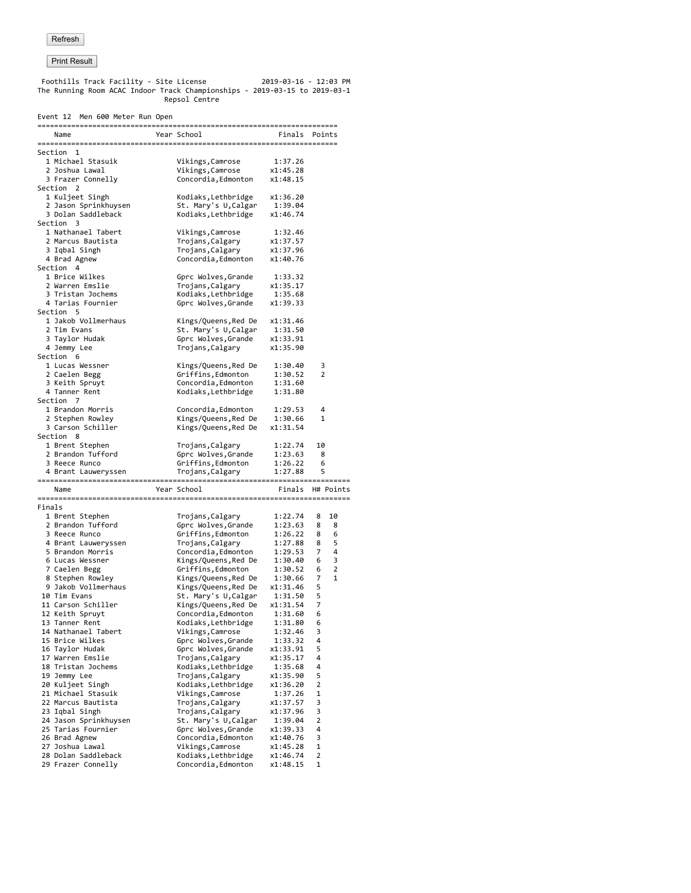Foothills Track Facility - Site License 2019-03-16 - 12:03 PM The Running Room ACAC Indoor Track Championships - 2019-03-15 to 2019-03-1 Repsol Centre

|        |                                             |  | Event 12 Men 600 Meter Run Open |                                              |                      |        |              |
|--------|---------------------------------------------|--|---------------------------------|----------------------------------------------|----------------------|--------|--------------|
|        | Name                                        |  |                                 | Year School                                  | Finals Points        |        |              |
|        |                                             |  |                                 |                                              |                      |        |              |
|        | Section 1<br>1 Michael Stasuik              |  |                                 | Vikings, Camrose                             | 1:37.26              |        |              |
|        | 2 Joshua Lawal                              |  |                                 | Vikings,Camrose                              | x1:45.28             |        |              |
|        | 3 Frazer Connelly                           |  |                                 | Concordia, Edmonton                          | x1:48.15             |        |              |
|        | Section 2                                   |  |                                 |                                              |                      |        |              |
|        | 1 Kuljeet Singh                             |  |                                 | Kodiaks,Lethbridge                           | x1:36.20             |        |              |
|        | 2 Jason Sprinkhuysen<br>3 Dolan Saddleback  |  |                                 | St. Mary's U,Calgar                          | 1:39.04              |        |              |
|        | Section 3                                   |  |                                 | Kodiaks, Lethbridge                          | x1:46.74             |        |              |
|        | 1 Nathanael Tabert                          |  |                                 | Vikings, Camrose                             | 1:32.46              |        |              |
|        | 2 Marcus Bautista                           |  |                                 | Trojans, Calgary                             | x1:37.57             |        |              |
|        | 3 Iqbal Singh                               |  |                                 | Trojans, Calgary                             | x1:37.96             |        |              |
|        | 4 Brad Agnew                                |  |                                 | Concordia, Edmonton                          | x1:40.76             |        |              |
|        | Section 4<br>1 Brice Wilkes                 |  |                                 | Gprc Wolves, Grande                          | 1:33.32              |        |              |
|        | 2 Warren Emslie                             |  |                                 | Trojans, Calgary                             | x1:35.17             |        |              |
|        | 3 Tristan Jochems                           |  |                                 | Kodiaks, Lethbridge                          | 1:35.68              |        |              |
|        | 4 Tarias Fournier                           |  |                                 | Gprc Wolves, Grande                          | x1:39.33             |        |              |
|        | Section 5                                   |  |                                 |                                              |                      |        |              |
|        | 1 Jakob Vollmerhaus                         |  |                                 | Kings/Queens,Red De                          | x1:31.46             |        |              |
|        | 2 Tim Evans                                 |  |                                 | St. Mary's U,Calgar                          | 1:31.50              |        |              |
|        | 3 Taylor Hudak<br>4 Jemmy Lee               |  |                                 | Gprc Wolves, Grande<br>Trojans, Calgary      | x1:33.91<br>x1:35.90 |        |              |
|        | Section 6                                   |  |                                 |                                              |                      |        |              |
|        | 1 Lucas Wessner                             |  |                                 | Kings/Queens, Red De                         | 1:30.40              | 3      |              |
|        | 2 Caelen Begg                               |  |                                 | Griffins, Edmonton                           | 1:30.52              | 2      |              |
|        | 3 Keith Spruyt                              |  |                                 | Concordia, Edmonton                          | 1:31.60              |        |              |
|        | 4 Tanner Rent                               |  |                                 | Kodiaks, Lethbridge                          | 1:31.80              |        |              |
|        | Section 7<br>1 Brandon Morris               |  |                                 |                                              | 1:29.53              | 4      |              |
|        | 2 Stephen Rowley                            |  |                                 | Concordia,Edmonton<br>Kings/Queens,Red De    | 1:30.66              | 1      |              |
|        | 3 Carson Schiller                           |  |                                 | Kings/Queens, Red De                         | x1:31.54             |        |              |
|        | Section 8                                   |  |                                 |                                              |                      |        |              |
|        | 1 Brent Stephen                             |  |                                 | Trojans,Calgary                              | 1:22.74              | 10     |              |
|        | 2 Brandon Tufford                           |  |                                 | Gprc Wolves,Grande                           | 1:23.63              | 8      |              |
|        |                                             |  |                                 |                                              |                      |        |              |
|        | 3 Reece Runco                               |  |                                 | Griffins,Edmonton                            | 1:26.22              | 6      |              |
|        | 4 Brant Lauweryssen                         |  |                                 | Trojans, Calgary                             | 1:27.88              | 5      |              |
|        | Name                                        |  |                                 | Year School                                  | Finals               |        | H# Points    |
|        |                                             |  |                                 |                                              |                      |        |              |
| Finals |                                             |  |                                 |                                              |                      |        |              |
|        | 1 Brent Stephen<br>2 Brandon Tufford        |  |                                 | Trojans,Calgary<br>Gprc Wolves, Grande       | 1:22.74<br>1:23.63   | 8<br>8 | 10<br>8      |
|        | 3 Reece Runco                               |  |                                 | Griffins, Edmonton                           | 1:26.22              | 8      | 6            |
|        | 4 Brant Lauweryssen                         |  |                                 | Trojans, Calgary                             | 1:27.88              | 8      | 5            |
|        | 5 Brandon Morris                            |  |                                 | Concordia, Edmonton                          | 1:29.53              | 7      | 4            |
|        | 6 Lucas Wessner                             |  |                                 | Kings/Queens, Red De                         | 1:30.40              | 6      | 3            |
|        | 7 Caelen Begg                               |  |                                 | Griffins, Edmonton                           | 1:30.52              | 6      | 2            |
|        | 8 Stephen Rowley<br>9 Jakob Vollmerhaus     |  |                                 | Kings/Queens, Red De                         | 1:30.66<br>x1:31.46  | 7<br>5 | $\mathbf{1}$ |
|        | 10 Tim Evans                                |  |                                 | Kings/Queens, Red De<br>St. Mary's U, Calgar | 1:31.50              | 5      |              |
|        | 11 Carson Schiller                          |  |                                 | Kings/Queens,Red De                          | x1:31.54             | 7      |              |
|        | 12 Keith Spruyt                             |  |                                 | Concordia,Edmonton                           | 1:31.60              | 6      |              |
|        | 13 Tanner Rent                              |  |                                 | Kodiaks, Lethbridge                          | 1:31.80              | 6      |              |
|        | 14 Nathanael Tabert                         |  |                                 | Vikings, Camrose                             | 1:32.46              | 3      |              |
|        | 15 Brice Wilkes                             |  |                                 | Gprc Wolves, Grande                          | 1:33.32              | 4      |              |
|        | 16 Taylor Hudak<br>17 Warren Emslie         |  |                                 | Gprc Wolves, Grande                          | x1:33.91             | 5<br>4 |              |
|        | 18 Tristan Jochems                          |  |                                 | Trojans, Calgary<br>Kodiaks, Lethbridge      | x1:35.17<br>1:35.68  | 4      |              |
|        | 19 Jemmy Lee                                |  |                                 | Trojans, Calgary                             | x1:35.90             | 5      |              |
|        | 20 Kuljeet Singh                            |  |                                 | Kodiaks, Lethbridge                          | x1:36.20             | 2      |              |
|        | 21 Michael Stasuik                          |  |                                 | Vikings, Camrose                             | 1:37.26              | 1      |              |
|        | 22 Marcus Bautista                          |  |                                 | Trojans, Calgary                             | x1:37.57             | 3      |              |
|        | 23 Iqbal Singh                              |  |                                 | Trojans, Calgary                             | x1:37.96             | 3<br>2 |              |
|        | 24 Jason Sprinkhuysen<br>25 Tarias Fournier |  |                                 | St. Mary's U, Calgar<br>Gprc Wolves, Grande  | 1:39.04<br>x1:39.33  | 4      |              |
|        | 26 Brad Agnew                               |  |                                 | Concordia, Edmonton                          | x1:40.76             | 3      |              |
|        | 27 Joshua Lawal                             |  |                                 | Vikings, Camrose                             | x1:45.28             | 1      |              |
|        | 28 Dolan Saddleback<br>29 Frazer Connelly   |  |                                 | Kodiaks, Lethbridge<br>Concordia, Edmonton   | x1:46.74<br>x1:48.15 | 2<br>1 |              |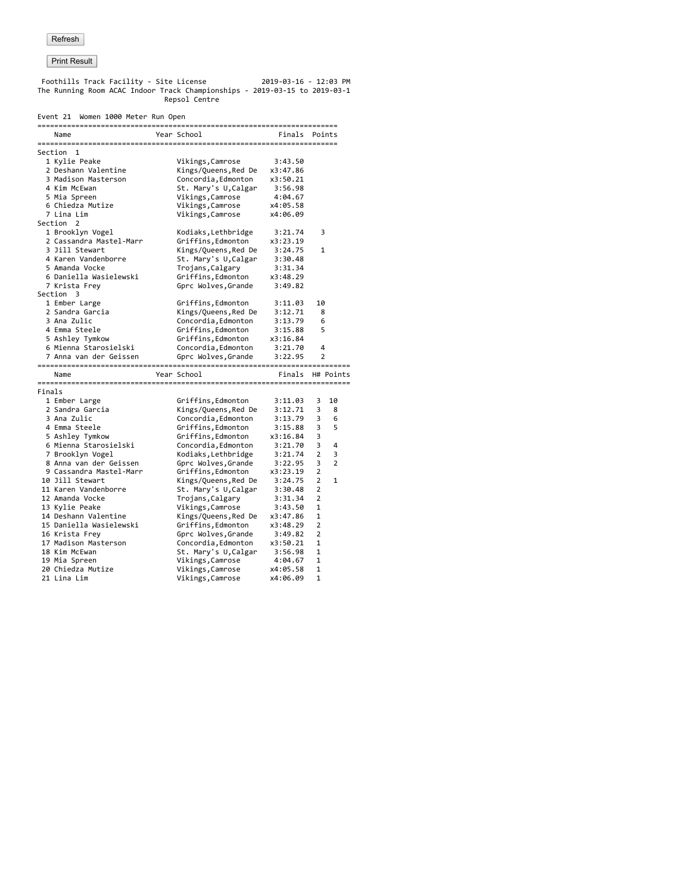Foothills Track Facility - Site License 2019-03-16 - 12:03 PM The Running Room ACAC Indoor Track Championships - 2019-03-15 to 2019-03-1 Repsol Centre

#### Event 21 Women 1000 Meter Run Open

|        | Name                    | Year School          | Finals           |                | Points |
|--------|-------------------------|----------------------|------------------|----------------|--------|
|        | Section<br>1            |                      |                  |                |        |
|        | 1 Kylie Peake           | Vikings, Camrose     | 3:43.50          |                |        |
|        | 2 Deshann Valentine     | Kings/Queens, Red De | x3:47.86         |                |        |
|        | 3 Madison Masterson     | Concordia, Edmonton  | x3:50.21         |                |        |
|        | 4 Kim McEwan            | St. Mary's U, Calgar | 3:56.98          |                |        |
|        | 5 Mia Spreen            | Vikings, Camrose     | 4:04.67          |                |        |
|        | 6 Chiedza Mutize        | Vikings, Camrose     | x4:05.58         |                |        |
|        | 7 Lina Lim              | Vikings, Camrose     | x4:06.09         |                |        |
|        | Section 2               |                      |                  |                |        |
|        | 1 Brooklyn Vogel        | Kodiaks, Lethbridge  | 3:21.74          | 3              |        |
|        | 2 Cassandra Mastel-Marr | Griffins, Edmonton   | x3:23.19         |                |        |
|        | 3 Jill Stewart          | Kings/Queens, Red De | 3:24.75          | 1              |        |
|        | 4 Karen Vandenborre     | St. Mary's U, Calgar | 3:30.48          |                |        |
|        | 5 Amanda Vocke          | Trojans, Calgary     | 3:31.34          |                |        |
|        | 6 Daniella Wasielewski  | Griffins, Edmonton   | x3:48.29         |                |        |
|        | 7 Krista Frey           | Gprc Wolves, Grande  | 3:49.82          |                |        |
|        | Section<br>3            |                      |                  |                |        |
|        | 1 Ember Large           | Griffins,Edmonton    | 3:11.03          | 10             |        |
|        | 2 Sandra Garcia         | Kings/Queens, Red De | 3:12.71          | 8              |        |
|        | 3 Ana Zulic             | Concordia, Edmonton  | 3:13.79          | 6              |        |
|        | 4 Emma Steele           | Griffins, Edmonton   | 3:15.88          | 5              |        |
|        | 5 Ashley Tymkow         | Griffins, Edmonton   | x3:16.84         |                |        |
|        | 6 Mienna Starosielski   | Concordia, Edmonton  | 3:21.70          | 4              |        |
|        | 7 Anna van der Geissen  | Gprc Wolves, Grande  | 3:22.95          | 2              |        |
|        |                         |                      |                  |                |        |
|        | Name                    | Year School          | Finals H# Points |                |        |
| Finals |                         |                      |                  |                |        |
|        | 1 Ember Large           | Griffins,Edmonton    | 3:11.03          | 3              | 10     |
|        | 2 Sandra Garcia         | Kings/Queens, Red De | 3:12.71          | 3              | 8      |
|        | 3 Ana Zulic             | Concordia, Edmonton  | 3:13.79          | 3              | 6      |
|        | 4 Emma Steele           | Griffins, Edmonton   | 3:15.88          | 3              | 5      |
|        | 5 Ashley Tymkow         | Griffins, Edmonton   | x3:16.84         | 3              |        |
|        | 6 Mienna Starosielski   | Concordia, Edmonton  | 3:21.70          | 3              | 4      |
|        | 7 Brooklyn Vogel        | Kodiaks, Lethbridge  | 3:21.74          | $\overline{2}$ | 3      |
|        | 8 Anna van der Geissen  | Gprc Wolves, Grande  | 3:22.95          | 3              | 2      |
|        | 9 Cassandra Mastel-Marr | Griffins, Edmonton   | x3:23.19         | 2              |        |
|        | 10 Jill Stewart         | Kings/Queens, Red De | 3:24.75          | 2              | 1      |
|        | 11 Karen Vandenborre    | St. Mary's U, Calgar | 3:30.48          | 2              |        |
|        | 12 Amanda Vocke         | Trojans, Calgary     | 3:31.34          | 2              |        |
|        | 13 Kylie Peake          | Vikings, Camrose     | 3:43.50          | 1              |        |
|        | 14 Deshann Valentine    | Kings/Queens, Red De | x3:47.86         | 1              |        |
|        | 15 Daniella Wasielewski | Griffins, Edmonton   | x3:48.29         | 2              |        |
|        | 16 Krista Frey          | Gprc Wolves, Grande  | 3:49.82          | 2              |        |
|        | 17 Madison Masterson    | Concordia, Edmonton  | x3:50.21         | 1              |        |
|        | 18 Kim McEwan           | St. Mary's U, Calgar | 3:56.98          | 1              |        |
|        | 19 Mia Spreen           | Vikings,Camrose      | 4:04.67          | 1              |        |
|        | 20 Chiedza Mutize       | Vikings,Camrose      | x4:05.58         | 1              |        |
|        | 21 Lina Lim             | Vikings, Camrose     | x4:06.09         | 1              |        |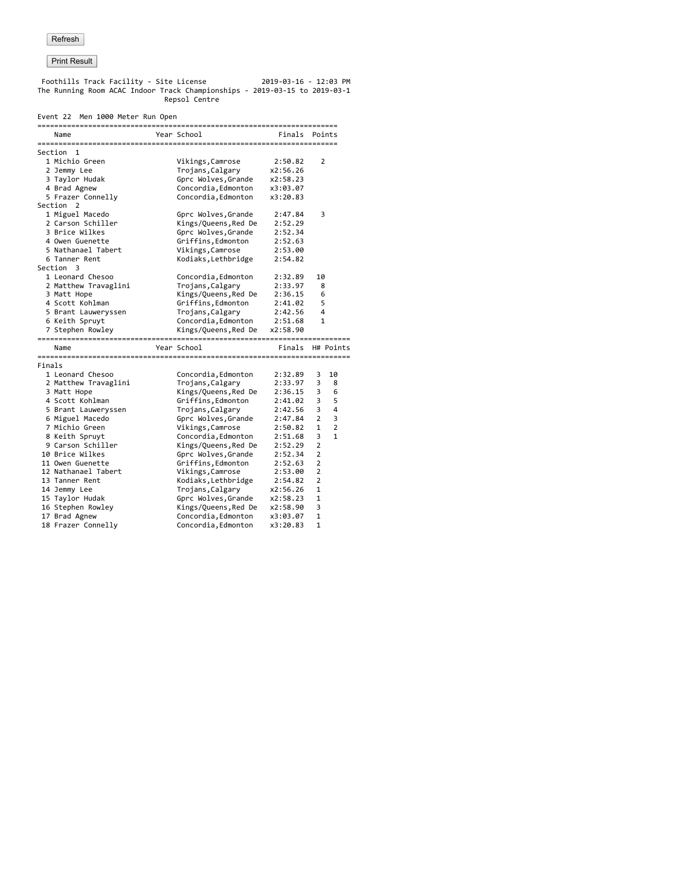Foothills Track Facility - Site License 2019-03-16 - 12:03 PM The Running Room ACAC Indoor Track Championships - 2019-03-15 to 2019-03-1 Repsol Centre

## Event 22 Men 1000 Meter Run Open

|        | LVCNC LL NCN 1000 NCCCI RUN OPCH |                      |               |                |                |
|--------|----------------------------------|----------------------|---------------|----------------|----------------|
|        | Name                             | Year School          | Finals Points |                |                |
|        | Section 1                        |                      |               |                |                |
|        | 1 Michio Green                   | Vikings, Camrose     | 2:50.82       | 2              |                |
|        | 2 Jemmy Lee                      | Trojans, Calgary     | x2:56.26      |                |                |
|        | 3 Taylor Hudak                   | Gprc Wolves, Grande  | x2:58.23      |                |                |
|        | 4 Brad Agnew                     | Concordia, Edmonton  | x3:03.07      |                |                |
|        | 5 Frazer Connelly                | Concordia, Edmonton  | x3:20.83      |                |                |
|        | Section 2                        |                      |               |                |                |
|        | 1 Miguel Macedo                  | Gprc Wolves, Grande  | 2:47.84       |                | 3              |
|        | 2 Carson Schiller                | Kings/Queens, Red De | 2:52.29       |                |                |
|        | 3 Brice Wilkes                   | Gprc Wolves, Grande  | 2:52.34       |                |                |
|        | 4 Owen Guenette                  | Griffins, Edmonton   | 2:52.63       |                |                |
|        | 5 Nathanael Tabert               | Vikings, Camrose     | 2:53.00       |                |                |
|        | 6 Tanner Rent                    | Kodiaks, Lethbridge  | 2:54.82       |                |                |
|        | Section 3                        |                      |               |                |                |
|        | 1 Leonard Chesoo                 | Concordia, Edmonton  | 2:32.89       | 10             |                |
|        | 2 Matthew Travaglini             | Trojans, Calgary     | 2:33.97       |                | 8              |
|        | 3 Matt Hope                      | Kings/Queens, Red De | 2:36.15       | 6              |                |
|        | 4 Scott Kohlman                  | Griffins, Edmonton   | 2:41.02       |                | 5              |
|        | 5 Brant Lauweryssen              | Trojans, Calgary     | 2:42.56       | 4              |                |
|        | 6 Keith Spruyt                   | Concordia, Edmonton  | 2:51.68       |                | $\mathbf{1}$   |
|        | 7 Stephen Rowley                 | Kings/Queens, Red De | x2:58.90      |                |                |
|        | Name                             | Year School          | Finals        |                | H# Points      |
|        |                                  |                      |               |                |                |
| Finals |                                  |                      |               |                |                |
|        | 1 Leonard Chesoo                 | Concordia, Edmonton  | 2:32.89       | 3              | 10             |
|        | 2 Matthew Travaglini             | Trojans, Calgary     | 2:33.97       | 3              | 8              |
|        | 3 Matt Hope                      | Kings/Queens, Red De | 2:36.15       | 3              | 6              |
|        | 4 Scott Kohlman                  | Griffins, Edmonton   | 2:41.02       | 3              | 5              |
|        | 5 Brant Lauweryssen              | Trojans, Calgary     | 2:42.56       | 3              | 4              |
|        | 6 Miguel Macedo                  | Gprc Wolves, Grande  | 2:47.84       | $\overline{2}$ | 3              |
|        | 7 Michio Green                   | Vikings, Camrose     | 2:50.82       | 1              | $\overline{2}$ |
|        | 8 Keith Spruyt                   | Concordia, Edmonton  | 2:51.68       | 3              | $\mathbf{1}$   |
|        | 9 Carson Schiller                | Kings/Queens, Red De | 2:52.29       | $\overline{2}$ |                |
|        | 10 Brice Wilkes                  | Gprc Wolves, Grande  | 2:52.34       | $\overline{2}$ |                |
|        | 11 Owen Guenette                 | Griffins, Edmonton   | 2:52.63       | $\overline{2}$ |                |
|        | 12 Nathanael Tabert              | Vikings, Camrose     | 2:53.00       | 2              |                |
|        | 13 Tanner Rent                   | Kodiaks, Lethbridge  | 2:54.82       | $\overline{2}$ |                |
|        | 14 Jemmy Lee                     | Trojans, Calgary     | x2:56.26      | 1              |                |
|        | 15 Taylor Hudak                  | Gprc Wolves, Grande  | x2:58.23      | 1              |                |
|        | 16 Stephen Rowley                | Kings/Queens, Red De | x2:58.90      | 3              |                |
|        | 17 Brad Agnew                    | Concordia, Edmonton  | x3:03.07      | 1              |                |
|        | 18 Frazer Connelly               | Concordia, Edmonton  | x3:20.83      | 1              |                |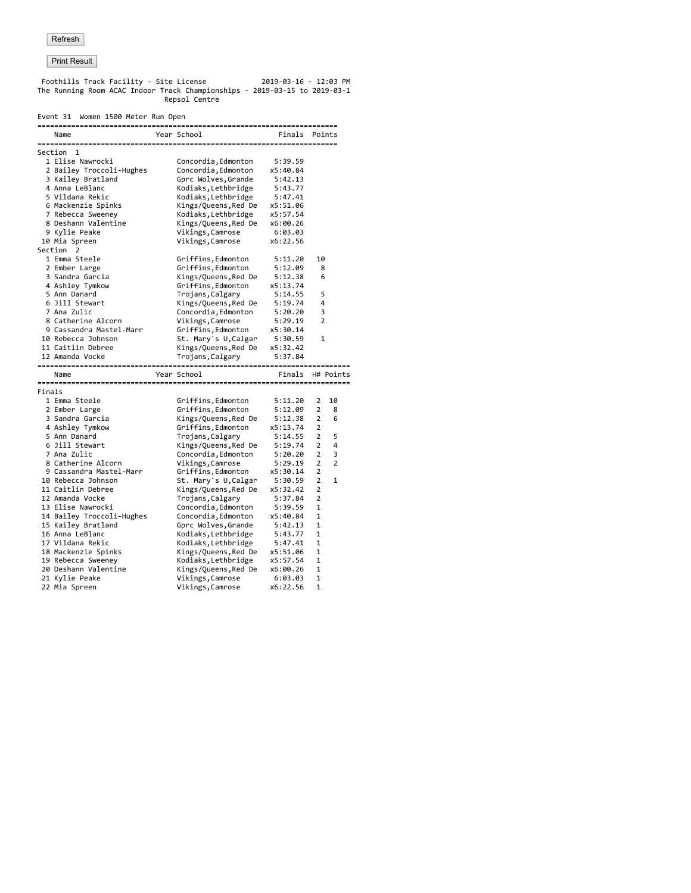Foothills Track Facility - Site License 2019-03-16 - 12:03 PM The Running Room ACAC Indoor Track Championships - 2019-03-15 to 2019-03-1 Repsol Centre

#### Event 31 Women 1500 Meter Run Open

|        | Name                            | Year School                          | Finals              |                | Points         |
|--------|---------------------------------|--------------------------------------|---------------------|----------------|----------------|
|        |                                 |                                      |                     |                |                |
|        | Section 1                       |                                      |                     |                |                |
|        | 1 Elise Nawrocki                | Concordia, Edmonton                  | 5:39.59             |                |                |
|        | 2 Bailey Troccoli-Hughes        | Concordia, Edmonton                  | x5:40.84            |                |                |
|        | 3 Kailey Bratland               | Gprc Wolves, Grande                  | 5:42.13             |                |                |
|        | 4 Anna LeBlanc                  | Kodiaks, Lethbridge                  | 5:43.77             |                |                |
|        | 5 Vildana Rekic                 | Kodiaks, Lethbridge                  | 5:47.41             |                |                |
|        | 6 Mackenzie Spinks              | Kings/Queens, Red De                 | x5:51.06            |                |                |
|        | 7 Rebecca Sweeney               | Kodiaks, Lethbridge                  | x5:57.54            |                |                |
|        | 8 Deshann Valentine             | Kings/Queens, Red De                 | x6:00.26            |                |                |
|        | 9 Kylie Peake                   | Vikings, Camrose                     | 6:03.03             |                |                |
|        | 10 Mia Spreen                   | Vikings, Camrose                     | x6:22.56            |                |                |
|        | Section 2                       |                                      |                     |                |                |
|        | 1 Emma Steele                   | Griffins, Edmonton                   | 5:11.20             | 10             |                |
|        | 2 Ember Large                   | Griffins, Edmonton                   | 5:12.09             | 8              |                |
|        | 3 Sandra Garcia                 | Kings/Queens, Red De                 | 5:12.38             | 6              |                |
|        | 4 Ashley Tymkow                 | Griffins, Edmonton                   | x5:13.74            |                |                |
|        | 5 Ann Danard                    | Trojans, Calgary                     | 5:14.55             | 5              |                |
|        | 6 Jill Stewart                  | Kings/Queens, Red De                 | 5:19.74             | 4              |                |
|        | 7 Ana Zulic                     | Concordia, Edmonton                  | 5:20.20             | 3              |                |
|        | 8 Catherine Alcorn              | Vikings, Camrose                     | 5:29.19             | $\overline{2}$ |                |
|        | 9 Cassandra Mastel-Marr         | Griffins, Edmonton                   | x5:30.14            |                |                |
|        | 10 Rebecca Johnson              | St. Mary's U, Calgar                 | 5:30.59             | 1              |                |
|        | 11 Caitlin Debree               | Kings/Queens,Red De                  | x5:32.42            |                |                |
|        | 12 Amanda Vocke                 | Trojans, Calgary                     | 5:37.84             |                |                |
|        |                                 |                                      |                     |                |                |
|        |                                 |                                      |                     |                |                |
|        | Name                            | Year School                          | Finals              |                | H# Points      |
|        |                                 |                                      |                     |                |                |
| Finals |                                 |                                      |                     |                |                |
|        | 1 Emma Steele                   | Griffins, Edmonton                   | 5:11.20             | 2              | 10             |
|        | 2 Ember Large                   | Griffins, Edmonton                   | 5:12.09             | 2              | 8              |
|        | 3 Sandra Garcia                 | Kings/Queens, Red De                 | 5:12.38             | $\overline{2}$ | 6              |
|        | 4 Ashley Tymkow                 | Griffins, Edmonton                   | x5:13.74            | $\overline{2}$ |                |
|        | 5 Ann Danard                    | Trojans, Calgary                     | 5:14.55             | 2              | 5              |
|        | 6 Jill Stewart                  | Kings/Queens, Red De                 | 5:19.74             | 2              | 4              |
|        | 7 Ana Zulic                     | Concordia, Edmonton                  | 5:20.20             | 2              | 3              |
|        | 8 Catherine Alcorn              | Vikings, Camrose                     | 5:29.19             | $\overline{2}$ | $\overline{2}$ |
|        | 9 Cassandra Mastel-Marr         | Griffins, Edmonton                   | x5:30.14            | $\overline{2}$ |                |
|        | 10 Rebecca Johnson              | St. Mary's U, Calgar                 | 5:30.59             | $\overline{2}$ | $\mathbf{1}$   |
|        | 11 Caitlin Debree               | Kings/Queens, Red De                 | x5:32.42            | 2              |                |
|        | 12 Amanda Vocke                 | Trojans, Calgary                     | 5:37.84             | $\overline{2}$ |                |
|        | 13 Elise Nawrocki               | Concordia, Edmonton                  | 5:39.59             | 1              |                |
|        | 14 Bailey Troccoli-Hughes       | Concordia, Edmonton                  | x5:40.84            | 1              |                |
|        | 15 Kailey Bratland              | Gprc Wolves, Grande                  | 5:42.13             | 1              |                |
|        | 16 Anna LeBlanc                 | Kodiaks, Lethbridge                  | 5:43.77             | 1              |                |
|        | 17 Vildana Rekic                | Kodiaks, Lethbridge                  | 5:47.41             | 1              |                |
|        | 18 Mackenzie Spinks             | Kings/Queens, Red De                 | x5:51.06            | 1              |                |
|        | 19 Rebecca Sweeney              | Kodiaks, Lethbridge                  | x5:57.54            | 1              |                |
|        | 20 Deshann Valentine            | Kings/Queens, Red De                 | x6:00.26            | 1              |                |
|        | 21 Kylie Peake<br>22 Mia Spreen | Vikings, Camrose<br>Vikings, Camrose | 6:03.03<br>x6:22.56 | 1<br>1         |                |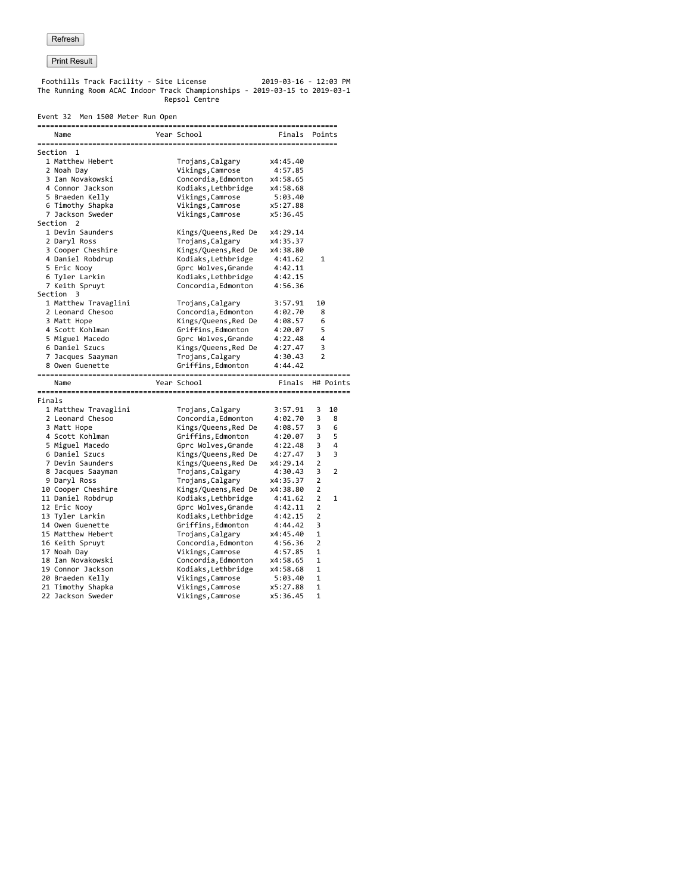Foothills Track Facility - Site License 2019-03-16 - 12:03 PM The Running Room ACAC Indoor Track Championships - 2019-03-15 to 2019-03-1 Repsol Centre

## Event 32 Men 1500 Meter Run Open

|        | EVENT SZ MEN 1500 METER KUN OPEN |                      |                  |                |              |
|--------|----------------------------------|----------------------|------------------|----------------|--------------|
|        | Name                             | Year School          | Finals           |                | Points       |
|        | Section 1                        |                      |                  |                |              |
|        | 1 Matthew Hebert                 | Trojans, Calgary     | x4:45.40         |                |              |
|        | 2 Noah Day                       | Vikings, Camrose     | 4:57.85          |                |              |
|        | 3 Ian Novakowski                 | Concordia, Edmonton  | x4:58.65         |                |              |
|        | 4 Connor Jackson                 | Kodiaks, Lethbridge  | x4:58.68         |                |              |
|        | 5 Braeden Kelly                  | Vikings, Camrose     | 5:03.40          |                |              |
|        | 6 Timothy Shapka                 | Vikings, Camrose     | x5:27.88         |                |              |
|        | 7 Jackson Sweder                 | Vikings, Camrose     | x5:36.45         |                |              |
|        | Section 2                        |                      |                  |                |              |
|        | 1 Devin Saunders                 | Kings/Queens, Red De | x4:29.14         |                |              |
|        | 2 Daryl Ross                     | Trojans, Calgary     | x4:35.37         |                |              |
|        | 3 Cooper Cheshire                | Kings/Queens, Red De | x4:38.80         |                |              |
|        | 4 Daniel Robdrup                 | Kodiaks, Lethbridge  | 4:41.62          |                | $\mathbf{1}$ |
|        | 5 Eric Nooy                      | Gprc Wolves, Grande  | 4:42.11          |                |              |
|        | 6 Tyler Larkin                   | Kodiaks, Lethbridge  | 4:42.15          |                |              |
|        | 7 Keith Spruyt                   | Concordia, Edmonton  | 4:56.36          |                |              |
|        | Section 3                        |                      |                  |                |              |
|        | 1 Matthew Travaglini             | Trojans, Calgary     | 3:57.91          | 10             |              |
|        | 2 Leonard Chesoo                 | Concordia, Edmonton  | 4:02.70          | 8              |              |
|        |                                  |                      |                  | 6              |              |
|        | 3 Matt Hope                      | Kings/Queens, Red De | 4:08.57          |                |              |
|        | 4 Scott Kohlman                  | Griffins, Edmonton   | 4:20.07          | 5<br>4         |              |
|        | 5 Miguel Macedo                  | Gprc Wolves, Grande  | 4:22.48          |                |              |
|        | 6 Daniel Szucs                   | Kings/Queens, Red De | 4:27.47          | 3              |              |
|        | 7 Jacques Saayman                | Trojans, Calgary     | 4:30.43          | $\overline{2}$ |              |
|        | 8 Owen Guenette                  | Griffins, Edmonton   | 4:44.42          |                |              |
|        | Name                             | Year School          | Finals H# Points |                |              |
| Finals |                                  |                      |                  |                |              |
|        | 1 Matthew Travaglini             | Trojans, Calgary     | 3:57.91          | 3              | 10           |
|        | 2 Leonard Chesoo                 | Concordia, Edmonton  | 4:02.70          | 3              | 8            |
|        | 3 Matt Hope                      | Kings/Queens, Red De | 4:08.57          | 3              | 6            |
|        | 4 Scott Kohlman                  | Griffins, Edmonton   | 4:20.07          | 3              | 5            |
|        | 5 Miguel Macedo                  | Gprc Wolves, Grande  | 4:22.48          | 3              | 4            |
|        | 6 Daniel Szucs                   | Kings/Queens, Red De | 4:27.47          | 3              | 3            |
|        | 7 Devin Saunders                 | Kings/Queens, Red De | x4:29.14         | 2              |              |
|        | 8 Jacques Saayman                | Trojans, Calgary     | 4:30.43          | 3              | 2            |
|        | 9 Daryl Ross                     | Trojans, Calgary     | x4:35.37         | 2              |              |
|        | 10 Cooper Cheshire               | Kings/Queens, Red De | x4:38.80         | 2              |              |
|        | 11 Daniel Robdrup                | Kodiaks, Lethbridge  | 4:41.62          | 2              | 1            |
|        | 12 Eric Nooy                     | Gprc Wolves, Grande  | 4:42.11          | 2              |              |
|        | 13 Tyler Larkin                  | Kodiaks, Lethbridge  | 4:42.15          | 2              |              |
|        | 14 Owen Guenette                 | Griffins, Edmonton   | 4:44.42          | 3              |              |
|        | 15 Matthew Hebert                | Trojans, Calgary     | x4:45.40         | 1              |              |
|        | 16 Keith Spruyt                  | Concordia, Edmonton  | 4:56.36          | 2              |              |
|        |                                  |                      |                  | 1              |              |
|        | 17 Noah Day                      | Vikings, Camrose     | 4:57.85          |                |              |
|        | 18 Ian Novakowski                | Concordia, Edmonton  | x4:58.65         | 1              |              |
|        | 19 Connor Jackson                | Kodiaks, Lethbridge  | x4:58.68         | 1              |              |
|        | 20 Braeden Kelly                 | Vikings, Camrose     | 5:03.40          | 1              |              |
|        | 21 Timothy Shapka                | Vikings, Camrose     | x5:27.88         | $\mathbf{1}$   |              |
|        | 22 Jackson Sweder                | Vikings, Camrose     | x5:36.45         | 1              |              |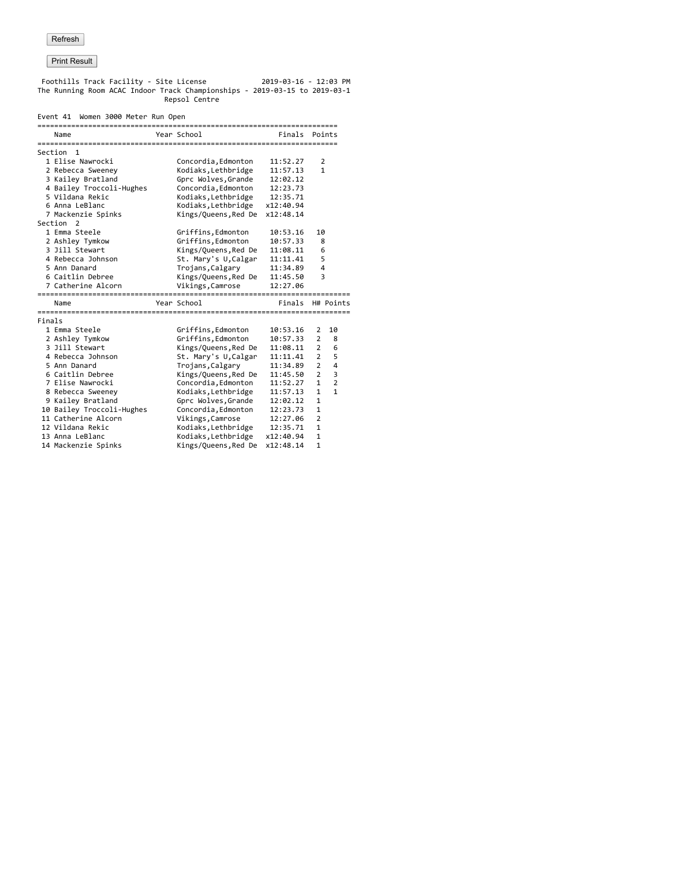Foothills Track Facility - Site License 2019-03-16 - 12:03 PM The Running Room ACAC Indoor Track Championships - 2019-03-15 to 2019-03-1 Repsol Centre

#### Event 41 Women 3000 Meter Run Open

|        | Name                      | Year School          | Finals    |                | Points         |
|--------|---------------------------|----------------------|-----------|----------------|----------------|
|        |                           |                      |           |                |                |
|        | Section 1                 |                      |           |                |                |
|        | 1 Elise Nawrocki          | Concordia, Edmonton  | 11:52.27  | 2              |                |
|        | 2 Rebecca Sweeney         | Kodiaks, Lethbridge  | 11:57.13  | $\mathbf{1}$   |                |
|        | 3 Kailey Bratland         | Gprc Wolves, Grande  | 12:02.12  |                |                |
|        | 4 Bailey Troccoli-Hughes  | Concordia, Edmonton  | 12:23.73  |                |                |
|        | 5 Vildana Rekic           | Kodiaks, Lethbridge  | 12:35.71  |                |                |
|        | 6 Anna LeBlanc            | Kodiaks, Lethbridge  | x12:40.94 |                |                |
|        | 7 Mackenzie Spinks        | Kings/Queens, Red De | x12:48.14 |                |                |
|        | Section<br>2              |                      |           |                |                |
|        | 1 Emma Steele             | Griffins, Edmonton   | 10:53.16  | 10             |                |
|        | 2 Ashley Tymkow           | Griffins, Edmonton   | 10:57.33  | 8              |                |
|        | 3 Jill Stewart            | Kings/Queens, Red De | 11:08.11  | 6              |                |
|        | 4 Rebecca Johnson         | St. Mary's U,Calgar  | 11:11.41  | 5              |                |
|        | 5 Ann Danard              | Trojans, Calgary     | 11:34.89  | $\overline{4}$ |                |
|        | 6 Caitlin Debree          | Kings/Queens, Red De | 11:45.50  | 3              |                |
|        | 7 Catherine Alcorn        | Vikings, Camrose     | 12:27.06  |                |                |
|        |                           |                      |           |                |                |
|        | Name                      | Year School          | Finals    |                | H# Points      |
| Finals |                           |                      |           |                |                |
|        | 1 Emma Steele             | Griffins, Edmonton   | 10:53.16  | $\overline{2}$ | 10             |
|        | 2 Ashley Tymkow           | Griffins, Edmonton   | 10:57.33  | $\overline{2}$ | 8              |
|        | 3 Jill Stewart            | Kings/Queens, Red De | 11:08.11  | $\overline{2}$ | 6              |
|        | 4 Rebecca Johnson         | St. Mary's U, Calgar | 11:11.41  | $\overline{2}$ | 5              |
|        | 5 Ann Danard              | Trojans, Calgary     | 11:34.89  | $\overline{2}$ | 4              |
|        | 6 Caitlin Debree          | Kings/Queens, Red De | 11:45.50  | $\overline{2}$ | 3              |
|        | 7 Elise Nawrocki          | Concordia, Edmonton  | 11:52.27  | $\mathbf{1}$   | $\overline{2}$ |
|        | 8 Rebecca Sweeney         | Kodiaks, Lethbridge  | 11:57.13  | $\mathbf{1}$   | $\mathbf{1}$   |
|        | 9 Kailey Bratland         | Gprc Wolves, Grande  | 12:02.12  | $\mathbf{1}$   |                |
|        | 10 Bailey Troccoli-Hughes | Concordia, Edmonton  | 12:23.73  | 1              |                |
|        | 11 Catherine Alcorn       | Vikings, Camrose     | 12:27.06  | $\overline{2}$ |                |
|        | 12 Vildana Rekic          | Kodiaks, Lethbridge  | 12:35.71  | $\mathbf{1}$   |                |
|        | 13 Anna LeBlanc           | Kodiaks, Lethbridge  | x12:40.94 | 1              |                |
|        | 14 Mackenzie Spinks       | Kings/Queens, Red De | x12:48.14 | 1              |                |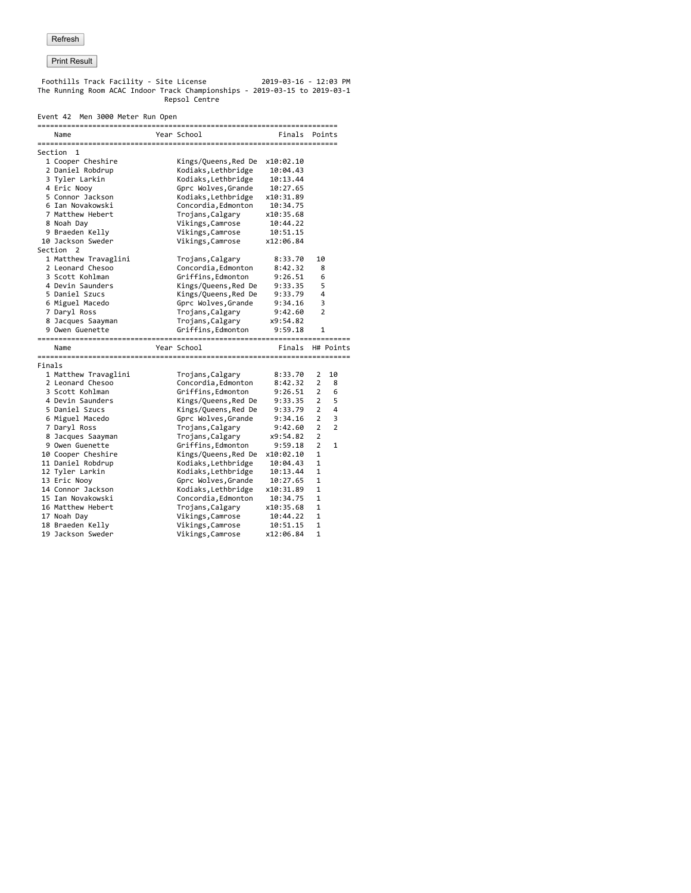Foothills Track Facility - Site License 2019-03-16 - 12:03 PM The Running Room ACAC Indoor Track Championships - 2019-03-15 to 2019-03-1 Repsol Centre

#### Event 42 Men 3000 Meter Run Open

| Year School<br>Finals<br>Name<br>Points<br>Section 1<br>1 Cooper Cheshire<br>Kings/Queens, Red De<br>x10:02.10<br>Kodiaks, Lethbridge<br>2 Daniel Robdrup<br>10:04.43<br>3 Tyler Larkin<br>Kodiaks, Lethbridge<br>10:13.44<br>4 Eric Nooy<br>Gprc Wolves, Grande<br>10:27.65<br>5 Connor Jackson<br>Kodiaks, Lethbridge<br>x10:31.89<br>6 Ian Novakowski<br>Concordia, Edmonton<br>10:34.75<br>7 Matthew Hebert<br>Trojans, Calgary<br>x10:35.68<br>Vikings, Camrose<br>10:44.22<br>8 Noah Day<br>9 Braeden Kelly<br>Vikings, Camrose<br>10:51.15<br>10 Jackson Sweder<br>Vikings, Camrose<br>x12:06.84<br>Section 2<br>1 Matthew Travaglini<br>10<br>Trojans, Calgary<br>8:33.70<br>2 Leonard Chesoo<br>Concordia, Edmonton<br>8:42.32<br>8<br>3 Scott Kohlman<br>Griffins, Edmonton<br>6<br>9:26.51<br>5<br>4 Devin Saunders<br>Kings/Queens, Red De<br>9:33.35<br>4<br>5 Daniel Szucs<br>Kings/Queens, Red De<br>9:33.79<br>3<br>6 Miguel Macedo<br>Gprc Wolves, Grande<br>9:34.16<br>7 Daryl Ross<br>2<br>Trojans, Calgary<br>9:42.60<br>8 Jacques Saayman<br>Trojans, Calgary<br>x9:54.82<br>9 Owen Guenette<br>Griffins, Edmonton<br>9:59.18<br>1<br>Year School<br>H# Points<br>Finals<br>Name<br>Finals<br>1 Matthew Travaglini<br>Trojans, Calgary<br>8:33.70<br>2<br>10<br>Concordia, Edmonton<br>$\overline{2}$<br>2 Leonard Chesoo<br>8:42.32<br>8<br>$\overline{2}$<br>3 Scott Kohlman<br>Griffins, Edmonton<br>9:26.51<br>6<br>5<br>4 Devin Saunders<br>Kings/Queens, Red De<br>$\overline{2}$<br>9:33.35<br>2<br>4<br>5 Daniel Szucs<br>Kings/Queens, Red De<br>9:33.79<br>$\overline{2}$<br>3<br>6 Miguel Macedo<br>Gprc Wolves, Grande<br>9:34.16<br>$\overline{2}$<br>$\overline{2}$<br>7 Daryl Ross<br>Trojans, Calgary<br>9:42.60<br>$\overline{2}$<br>8 Jacques Saayman<br>Trojans, Calgary<br>x9:54.82<br>2<br>9 Owen Guenette<br>Griffins, Edmonton<br>9:59.18<br>$\mathbf{1}$<br>$\mathbf{1}$<br>10 Cooper Cheshire<br>Kings/Queens, Red De<br>x10:02.10<br>11 Daniel Robdrup<br>Kodiaks, Lethbridge<br>1<br>10:04.43<br>12 Tyler Larkin<br>1<br>Kodiaks, Lethbridge<br>10:13.44<br>1<br>13 Eric Nooy<br>Gprc Wolves, Grande<br>10:27.65<br>14 Connor Jackson<br>Kodiaks, Lethbridge<br>1<br>x10:31.89<br>15 Ian Novakowski<br>Concordia, Edmonton<br>10:34.75<br>1<br>16 Matthew Hebert<br>Trojans, Calgary<br>1<br>x10:35.68<br>$\mathbf{1}$<br>Vikings, Camrose<br>17 Noah Day<br>10:44.22<br>18 Braeden Kelly<br>Vikings, Camrose<br>1<br>10:51.15<br>19 Jackson Sweder | -------------------------------- |                 |           |   |  |
|-----------------------------------------------------------------------------------------------------------------------------------------------------------------------------------------------------------------------------------------------------------------------------------------------------------------------------------------------------------------------------------------------------------------------------------------------------------------------------------------------------------------------------------------------------------------------------------------------------------------------------------------------------------------------------------------------------------------------------------------------------------------------------------------------------------------------------------------------------------------------------------------------------------------------------------------------------------------------------------------------------------------------------------------------------------------------------------------------------------------------------------------------------------------------------------------------------------------------------------------------------------------------------------------------------------------------------------------------------------------------------------------------------------------------------------------------------------------------------------------------------------------------------------------------------------------------------------------------------------------------------------------------------------------------------------------------------------------------------------------------------------------------------------------------------------------------------------------------------------------------------------------------------------------------------------------------------------------------------------------------------------------------------------------------------------------------------------------------------------------------------------------------------------------------------------------------------------------------------------------------------------------------------------------------------------------------------------------------------------------------------------------------------------------------------------------------------------------------------------------------------|----------------------------------|-----------------|-----------|---|--|
|                                                                                                                                                                                                                                                                                                                                                                                                                                                                                                                                                                                                                                                                                                                                                                                                                                                                                                                                                                                                                                                                                                                                                                                                                                                                                                                                                                                                                                                                                                                                                                                                                                                                                                                                                                                                                                                                                                                                                                                                                                                                                                                                                                                                                                                                                                                                                                                                                                                                                                     |                                  |                 |           |   |  |
|                                                                                                                                                                                                                                                                                                                                                                                                                                                                                                                                                                                                                                                                                                                                                                                                                                                                                                                                                                                                                                                                                                                                                                                                                                                                                                                                                                                                                                                                                                                                                                                                                                                                                                                                                                                                                                                                                                                                                                                                                                                                                                                                                                                                                                                                                                                                                                                                                                                                                                     |                                  |                 |           |   |  |
|                                                                                                                                                                                                                                                                                                                                                                                                                                                                                                                                                                                                                                                                                                                                                                                                                                                                                                                                                                                                                                                                                                                                                                                                                                                                                                                                                                                                                                                                                                                                                                                                                                                                                                                                                                                                                                                                                                                                                                                                                                                                                                                                                                                                                                                                                                                                                                                                                                                                                                     |                                  |                 |           |   |  |
|                                                                                                                                                                                                                                                                                                                                                                                                                                                                                                                                                                                                                                                                                                                                                                                                                                                                                                                                                                                                                                                                                                                                                                                                                                                                                                                                                                                                                                                                                                                                                                                                                                                                                                                                                                                                                                                                                                                                                                                                                                                                                                                                                                                                                                                                                                                                                                                                                                                                                                     |                                  |                 |           |   |  |
|                                                                                                                                                                                                                                                                                                                                                                                                                                                                                                                                                                                                                                                                                                                                                                                                                                                                                                                                                                                                                                                                                                                                                                                                                                                                                                                                                                                                                                                                                                                                                                                                                                                                                                                                                                                                                                                                                                                                                                                                                                                                                                                                                                                                                                                                                                                                                                                                                                                                                                     |                                  |                 |           |   |  |
|                                                                                                                                                                                                                                                                                                                                                                                                                                                                                                                                                                                                                                                                                                                                                                                                                                                                                                                                                                                                                                                                                                                                                                                                                                                                                                                                                                                                                                                                                                                                                                                                                                                                                                                                                                                                                                                                                                                                                                                                                                                                                                                                                                                                                                                                                                                                                                                                                                                                                                     |                                  |                 |           |   |  |
|                                                                                                                                                                                                                                                                                                                                                                                                                                                                                                                                                                                                                                                                                                                                                                                                                                                                                                                                                                                                                                                                                                                                                                                                                                                                                                                                                                                                                                                                                                                                                                                                                                                                                                                                                                                                                                                                                                                                                                                                                                                                                                                                                                                                                                                                                                                                                                                                                                                                                                     |                                  |                 |           |   |  |
|                                                                                                                                                                                                                                                                                                                                                                                                                                                                                                                                                                                                                                                                                                                                                                                                                                                                                                                                                                                                                                                                                                                                                                                                                                                                                                                                                                                                                                                                                                                                                                                                                                                                                                                                                                                                                                                                                                                                                                                                                                                                                                                                                                                                                                                                                                                                                                                                                                                                                                     |                                  |                 |           |   |  |
|                                                                                                                                                                                                                                                                                                                                                                                                                                                                                                                                                                                                                                                                                                                                                                                                                                                                                                                                                                                                                                                                                                                                                                                                                                                                                                                                                                                                                                                                                                                                                                                                                                                                                                                                                                                                                                                                                                                                                                                                                                                                                                                                                                                                                                                                                                                                                                                                                                                                                                     |                                  |                 |           |   |  |
|                                                                                                                                                                                                                                                                                                                                                                                                                                                                                                                                                                                                                                                                                                                                                                                                                                                                                                                                                                                                                                                                                                                                                                                                                                                                                                                                                                                                                                                                                                                                                                                                                                                                                                                                                                                                                                                                                                                                                                                                                                                                                                                                                                                                                                                                                                                                                                                                                                                                                                     |                                  |                 |           |   |  |
|                                                                                                                                                                                                                                                                                                                                                                                                                                                                                                                                                                                                                                                                                                                                                                                                                                                                                                                                                                                                                                                                                                                                                                                                                                                                                                                                                                                                                                                                                                                                                                                                                                                                                                                                                                                                                                                                                                                                                                                                                                                                                                                                                                                                                                                                                                                                                                                                                                                                                                     |                                  |                 |           |   |  |
|                                                                                                                                                                                                                                                                                                                                                                                                                                                                                                                                                                                                                                                                                                                                                                                                                                                                                                                                                                                                                                                                                                                                                                                                                                                                                                                                                                                                                                                                                                                                                                                                                                                                                                                                                                                                                                                                                                                                                                                                                                                                                                                                                                                                                                                                                                                                                                                                                                                                                                     |                                  |                 |           |   |  |
|                                                                                                                                                                                                                                                                                                                                                                                                                                                                                                                                                                                                                                                                                                                                                                                                                                                                                                                                                                                                                                                                                                                                                                                                                                                                                                                                                                                                                                                                                                                                                                                                                                                                                                                                                                                                                                                                                                                                                                                                                                                                                                                                                                                                                                                                                                                                                                                                                                                                                                     |                                  |                 |           |   |  |
|                                                                                                                                                                                                                                                                                                                                                                                                                                                                                                                                                                                                                                                                                                                                                                                                                                                                                                                                                                                                                                                                                                                                                                                                                                                                                                                                                                                                                                                                                                                                                                                                                                                                                                                                                                                                                                                                                                                                                                                                                                                                                                                                                                                                                                                                                                                                                                                                                                                                                                     |                                  |                 |           |   |  |
|                                                                                                                                                                                                                                                                                                                                                                                                                                                                                                                                                                                                                                                                                                                                                                                                                                                                                                                                                                                                                                                                                                                                                                                                                                                                                                                                                                                                                                                                                                                                                                                                                                                                                                                                                                                                                                                                                                                                                                                                                                                                                                                                                                                                                                                                                                                                                                                                                                                                                                     |                                  |                 |           |   |  |
|                                                                                                                                                                                                                                                                                                                                                                                                                                                                                                                                                                                                                                                                                                                                                                                                                                                                                                                                                                                                                                                                                                                                                                                                                                                                                                                                                                                                                                                                                                                                                                                                                                                                                                                                                                                                                                                                                                                                                                                                                                                                                                                                                                                                                                                                                                                                                                                                                                                                                                     |                                  |                 |           |   |  |
|                                                                                                                                                                                                                                                                                                                                                                                                                                                                                                                                                                                                                                                                                                                                                                                                                                                                                                                                                                                                                                                                                                                                                                                                                                                                                                                                                                                                                                                                                                                                                                                                                                                                                                                                                                                                                                                                                                                                                                                                                                                                                                                                                                                                                                                                                                                                                                                                                                                                                                     |                                  |                 |           |   |  |
|                                                                                                                                                                                                                                                                                                                                                                                                                                                                                                                                                                                                                                                                                                                                                                                                                                                                                                                                                                                                                                                                                                                                                                                                                                                                                                                                                                                                                                                                                                                                                                                                                                                                                                                                                                                                                                                                                                                                                                                                                                                                                                                                                                                                                                                                                                                                                                                                                                                                                                     |                                  |                 |           |   |  |
|                                                                                                                                                                                                                                                                                                                                                                                                                                                                                                                                                                                                                                                                                                                                                                                                                                                                                                                                                                                                                                                                                                                                                                                                                                                                                                                                                                                                                                                                                                                                                                                                                                                                                                                                                                                                                                                                                                                                                                                                                                                                                                                                                                                                                                                                                                                                                                                                                                                                                                     |                                  |                 |           |   |  |
|                                                                                                                                                                                                                                                                                                                                                                                                                                                                                                                                                                                                                                                                                                                                                                                                                                                                                                                                                                                                                                                                                                                                                                                                                                                                                                                                                                                                                                                                                                                                                                                                                                                                                                                                                                                                                                                                                                                                                                                                                                                                                                                                                                                                                                                                                                                                                                                                                                                                                                     |                                  |                 |           |   |  |
|                                                                                                                                                                                                                                                                                                                                                                                                                                                                                                                                                                                                                                                                                                                                                                                                                                                                                                                                                                                                                                                                                                                                                                                                                                                                                                                                                                                                                                                                                                                                                                                                                                                                                                                                                                                                                                                                                                                                                                                                                                                                                                                                                                                                                                                                                                                                                                                                                                                                                                     |                                  |                 |           |   |  |
|                                                                                                                                                                                                                                                                                                                                                                                                                                                                                                                                                                                                                                                                                                                                                                                                                                                                                                                                                                                                                                                                                                                                                                                                                                                                                                                                                                                                                                                                                                                                                                                                                                                                                                                                                                                                                                                                                                                                                                                                                                                                                                                                                                                                                                                                                                                                                                                                                                                                                                     |                                  |                 |           |   |  |
|                                                                                                                                                                                                                                                                                                                                                                                                                                                                                                                                                                                                                                                                                                                                                                                                                                                                                                                                                                                                                                                                                                                                                                                                                                                                                                                                                                                                                                                                                                                                                                                                                                                                                                                                                                                                                                                                                                                                                                                                                                                                                                                                                                                                                                                                                                                                                                                                                                                                                                     |                                  |                 |           |   |  |
|                                                                                                                                                                                                                                                                                                                                                                                                                                                                                                                                                                                                                                                                                                                                                                                                                                                                                                                                                                                                                                                                                                                                                                                                                                                                                                                                                                                                                                                                                                                                                                                                                                                                                                                                                                                                                                                                                                                                                                                                                                                                                                                                                                                                                                                                                                                                                                                                                                                                                                     |                                  |                 |           |   |  |
|                                                                                                                                                                                                                                                                                                                                                                                                                                                                                                                                                                                                                                                                                                                                                                                                                                                                                                                                                                                                                                                                                                                                                                                                                                                                                                                                                                                                                                                                                                                                                                                                                                                                                                                                                                                                                                                                                                                                                                                                                                                                                                                                                                                                                                                                                                                                                                                                                                                                                                     |                                  |                 |           |   |  |
|                                                                                                                                                                                                                                                                                                                                                                                                                                                                                                                                                                                                                                                                                                                                                                                                                                                                                                                                                                                                                                                                                                                                                                                                                                                                                                                                                                                                                                                                                                                                                                                                                                                                                                                                                                                                                                                                                                                                                                                                                                                                                                                                                                                                                                                                                                                                                                                                                                                                                                     |                                  |                 |           |   |  |
|                                                                                                                                                                                                                                                                                                                                                                                                                                                                                                                                                                                                                                                                                                                                                                                                                                                                                                                                                                                                                                                                                                                                                                                                                                                                                                                                                                                                                                                                                                                                                                                                                                                                                                                                                                                                                                                                                                                                                                                                                                                                                                                                                                                                                                                                                                                                                                                                                                                                                                     |                                  |                 |           |   |  |
|                                                                                                                                                                                                                                                                                                                                                                                                                                                                                                                                                                                                                                                                                                                                                                                                                                                                                                                                                                                                                                                                                                                                                                                                                                                                                                                                                                                                                                                                                                                                                                                                                                                                                                                                                                                                                                                                                                                                                                                                                                                                                                                                                                                                                                                                                                                                                                                                                                                                                                     |                                  |                 |           |   |  |
|                                                                                                                                                                                                                                                                                                                                                                                                                                                                                                                                                                                                                                                                                                                                                                                                                                                                                                                                                                                                                                                                                                                                                                                                                                                                                                                                                                                                                                                                                                                                                                                                                                                                                                                                                                                                                                                                                                                                                                                                                                                                                                                                                                                                                                                                                                                                                                                                                                                                                                     |                                  |                 |           |   |  |
|                                                                                                                                                                                                                                                                                                                                                                                                                                                                                                                                                                                                                                                                                                                                                                                                                                                                                                                                                                                                                                                                                                                                                                                                                                                                                                                                                                                                                                                                                                                                                                                                                                                                                                                                                                                                                                                                                                                                                                                                                                                                                                                                                                                                                                                                                                                                                                                                                                                                                                     |                                  |                 |           |   |  |
|                                                                                                                                                                                                                                                                                                                                                                                                                                                                                                                                                                                                                                                                                                                                                                                                                                                                                                                                                                                                                                                                                                                                                                                                                                                                                                                                                                                                                                                                                                                                                                                                                                                                                                                                                                                                                                                                                                                                                                                                                                                                                                                                                                                                                                                                                                                                                                                                                                                                                                     |                                  |                 |           |   |  |
|                                                                                                                                                                                                                                                                                                                                                                                                                                                                                                                                                                                                                                                                                                                                                                                                                                                                                                                                                                                                                                                                                                                                                                                                                                                                                                                                                                                                                                                                                                                                                                                                                                                                                                                                                                                                                                                                                                                                                                                                                                                                                                                                                                                                                                                                                                                                                                                                                                                                                                     |                                  |                 |           |   |  |
|                                                                                                                                                                                                                                                                                                                                                                                                                                                                                                                                                                                                                                                                                                                                                                                                                                                                                                                                                                                                                                                                                                                                                                                                                                                                                                                                                                                                                                                                                                                                                                                                                                                                                                                                                                                                                                                                                                                                                                                                                                                                                                                                                                                                                                                                                                                                                                                                                                                                                                     |                                  |                 |           |   |  |
|                                                                                                                                                                                                                                                                                                                                                                                                                                                                                                                                                                                                                                                                                                                                                                                                                                                                                                                                                                                                                                                                                                                                                                                                                                                                                                                                                                                                                                                                                                                                                                                                                                                                                                                                                                                                                                                                                                                                                                                                                                                                                                                                                                                                                                                                                                                                                                                                                                                                                                     |                                  |                 |           |   |  |
|                                                                                                                                                                                                                                                                                                                                                                                                                                                                                                                                                                                                                                                                                                                                                                                                                                                                                                                                                                                                                                                                                                                                                                                                                                                                                                                                                                                                                                                                                                                                                                                                                                                                                                                                                                                                                                                                                                                                                                                                                                                                                                                                                                                                                                                                                                                                                                                                                                                                                                     |                                  |                 |           |   |  |
|                                                                                                                                                                                                                                                                                                                                                                                                                                                                                                                                                                                                                                                                                                                                                                                                                                                                                                                                                                                                                                                                                                                                                                                                                                                                                                                                                                                                                                                                                                                                                                                                                                                                                                                                                                                                                                                                                                                                                                                                                                                                                                                                                                                                                                                                                                                                                                                                                                                                                                     |                                  |                 |           |   |  |
|                                                                                                                                                                                                                                                                                                                                                                                                                                                                                                                                                                                                                                                                                                                                                                                                                                                                                                                                                                                                                                                                                                                                                                                                                                                                                                                                                                                                                                                                                                                                                                                                                                                                                                                                                                                                                                                                                                                                                                                                                                                                                                                                                                                                                                                                                                                                                                                                                                                                                                     |                                  |                 |           |   |  |
|                                                                                                                                                                                                                                                                                                                                                                                                                                                                                                                                                                                                                                                                                                                                                                                                                                                                                                                                                                                                                                                                                                                                                                                                                                                                                                                                                                                                                                                                                                                                                                                                                                                                                                                                                                                                                                                                                                                                                                                                                                                                                                                                                                                                                                                                                                                                                                                                                                                                                                     |                                  |                 |           |   |  |
|                                                                                                                                                                                                                                                                                                                                                                                                                                                                                                                                                                                                                                                                                                                                                                                                                                                                                                                                                                                                                                                                                                                                                                                                                                                                                                                                                                                                                                                                                                                                                                                                                                                                                                                                                                                                                                                                                                                                                                                                                                                                                                                                                                                                                                                                                                                                                                                                                                                                                                     |                                  |                 |           |   |  |
|                                                                                                                                                                                                                                                                                                                                                                                                                                                                                                                                                                                                                                                                                                                                                                                                                                                                                                                                                                                                                                                                                                                                                                                                                                                                                                                                                                                                                                                                                                                                                                                                                                                                                                                                                                                                                                                                                                                                                                                                                                                                                                                                                                                                                                                                                                                                                                                                                                                                                                     |                                  |                 |           |   |  |
|                                                                                                                                                                                                                                                                                                                                                                                                                                                                                                                                                                                                                                                                                                                                                                                                                                                                                                                                                                                                                                                                                                                                                                                                                                                                                                                                                                                                                                                                                                                                                                                                                                                                                                                                                                                                                                                                                                                                                                                                                                                                                                                                                                                                                                                                                                                                                                                                                                                                                                     |                                  |                 |           |   |  |
|                                                                                                                                                                                                                                                                                                                                                                                                                                                                                                                                                                                                                                                                                                                                                                                                                                                                                                                                                                                                                                                                                                                                                                                                                                                                                                                                                                                                                                                                                                                                                                                                                                                                                                                                                                                                                                                                                                                                                                                                                                                                                                                                                                                                                                                                                                                                                                                                                                                                                                     |                                  |                 |           |   |  |
|                                                                                                                                                                                                                                                                                                                                                                                                                                                                                                                                                                                                                                                                                                                                                                                                                                                                                                                                                                                                                                                                                                                                                                                                                                                                                                                                                                                                                                                                                                                                                                                                                                                                                                                                                                                                                                                                                                                                                                                                                                                                                                                                                                                                                                                                                                                                                                                                                                                                                                     |                                  |                 |           |   |  |
|                                                                                                                                                                                                                                                                                                                                                                                                                                                                                                                                                                                                                                                                                                                                                                                                                                                                                                                                                                                                                                                                                                                                                                                                                                                                                                                                                                                                                                                                                                                                                                                                                                                                                                                                                                                                                                                                                                                                                                                                                                                                                                                                                                                                                                                                                                                                                                                                                                                                                                     |                                  | Vikings,Camrose | x12:06.84 | 1 |  |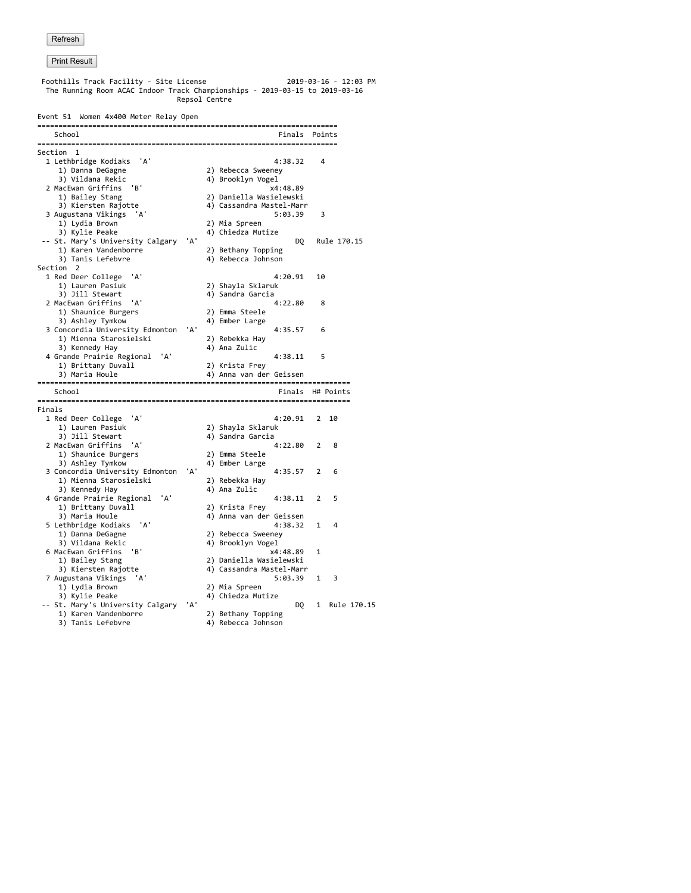| Foothills Track Facility - Site License<br>2019-03-16 - 12:03 PM<br>The Running Room ACAC Indoor Track Championships - 2019-03-15 to 2019-03-16<br>Repsol Centre |     |  |                                           |                |             |  |  |  |  |
|------------------------------------------------------------------------------------------------------------------------------------------------------------------|-----|--|-------------------------------------------|----------------|-------------|--|--|--|--|
| Event 51 Women 4x400 Meter Relay Open                                                                                                                            |     |  |                                           |                |             |  |  |  |  |
| School<br>Finals Points                                                                                                                                          |     |  |                                           |                |             |  |  |  |  |
| Section 1                                                                                                                                                        |     |  |                                           |                |             |  |  |  |  |
| 1 Lethbridge Kodiaks 'A'                                                                                                                                         |     |  | 4:38.32                                   | $\overline{a}$ |             |  |  |  |  |
| 1) Danna DeGagne                                                                                                                                                 |     |  | 2) Rebecca Sweeney                        |                |             |  |  |  |  |
| 3) Vildana Rekic                                                                                                                                                 |     |  | 4) Brooklyn Vogel                         |                |             |  |  |  |  |
| 2 MacEwan Griffins<br>'в'                                                                                                                                        |     |  | x4:48.89                                  |                |             |  |  |  |  |
| 1) Bailey Stang                                                                                                                                                  |     |  | 2) Daniella Wasielewski                   |                |             |  |  |  |  |
| 3) Kiersten Rajotte                                                                                                                                              |     |  | 4) Cassandra Mastel-Marr                  |                |             |  |  |  |  |
| 3 Augustana Vikings<br>'A'                                                                                                                                       |     |  | 5:03.39                                   | 3              |             |  |  |  |  |
| 1) Lydia Brown                                                                                                                                                   |     |  | 2) Mia Spreen                             |                |             |  |  |  |  |
| 3) Kylie Peake                                                                                                                                                   | 'А' |  | 4) Chiedza Mutize                         |                |             |  |  |  |  |
| -- St. Mary's University Calgary<br>1) Karen Vandenborre                                                                                                         |     |  | DQ                                        |                | Rule 170.15 |  |  |  |  |
| 3) Tanis Lefebvre                                                                                                                                                |     |  | 2) Bethany Topping<br>4) Rebecca Johnson  |                |             |  |  |  |  |
| Section 2                                                                                                                                                        |     |  |                                           |                |             |  |  |  |  |
| 1 Red Deer College 'A'                                                                                                                                           |     |  | 4:20.91                                   | 10             |             |  |  |  |  |
| 1) Lauren Pasiuk                                                                                                                                                 |     |  | 2) Shayla Sklaruk                         |                |             |  |  |  |  |
| 3) Jill Stewart                                                                                                                                                  |     |  | 4) Sandra Garcia                          |                |             |  |  |  |  |
| 2 MacEwan Griffins<br>'A'                                                                                                                                        |     |  | 4:22.80                                   | 8              |             |  |  |  |  |
| 1) Shaunice Burgers                                                                                                                                              |     |  | 2) Emma Steele                            |                |             |  |  |  |  |
| 3) Ashley Tymkow                                                                                                                                                 |     |  | 4) Ember Large                            |                |             |  |  |  |  |
| 3 Concordia University Edmonton                                                                                                                                  | 'А' |  | 4:35.57                                   | 6              |             |  |  |  |  |
| 1) Mienna Starosielski                                                                                                                                           |     |  | 2) Rebekka Hay                            |                |             |  |  |  |  |
| 3) Kennedy Hay                                                                                                                                                   |     |  | 4) Ana Zulic                              |                |             |  |  |  |  |
| 4 Grande Prairie Regional 'A'                                                                                                                                    |     |  | 4:38.11                                   | 5              |             |  |  |  |  |
| 1) Brittany Duvall<br>3) Maria Houle                                                                                                                             |     |  | 2) Krista Frey<br>4) Anna van der Geissen |                |             |  |  |  |  |
|                                                                                                                                                                  |     |  |                                           |                |             |  |  |  |  |
| School                                                                                                                                                           |     |  | Finals H# Points                          |                |             |  |  |  |  |
| Finals                                                                                                                                                           |     |  |                                           |                |             |  |  |  |  |
| 1 Red Deer College 'A'                                                                                                                                           |     |  | 4:20.91                                   | 2              | 10          |  |  |  |  |
| 1) Lauren Pasiuk                                                                                                                                                 |     |  | 2) Shayla Sklaruk                         |                |             |  |  |  |  |
| 3) Jill Stewart                                                                                                                                                  |     |  | 4) Sandra Garcia                          |                |             |  |  |  |  |
| 2 MacEwan Griffins<br>'A'                                                                                                                                        |     |  | 4:22.80                                   | 2              | 8           |  |  |  |  |
| 1) Shaunice Burgers                                                                                                                                              |     |  | 2) Emma Steele                            |                |             |  |  |  |  |
| 3) Ashley Tymkow                                                                                                                                                 |     |  | 4) Ember Large                            |                |             |  |  |  |  |
| 3 Concordia University Edmonton                                                                                                                                  | 'A' |  | 4:35.57                                   | 2              | 6           |  |  |  |  |
| 1) Mienna Starosielski<br>3) Kennedy Hay                                                                                                                         |     |  | 2) Rebekka Hay<br>4) Ana Zulic            |                |             |  |  |  |  |
| 'A'<br>4 Grande Prairie Regional                                                                                                                                 |     |  | 4:38.11                                   | 2              | 5           |  |  |  |  |
| 1) Brittany Duvall                                                                                                                                               |     |  | 2) Krista Frey                            |                |             |  |  |  |  |
| 3) Maria Houle                                                                                                                                                   |     |  | 4) Anna van der Geissen                   |                |             |  |  |  |  |
| 'A'<br>5 Lethbridge Kodiaks                                                                                                                                      |     |  | 4:38.32                                   | 1              | 4           |  |  |  |  |
| 1) Danna DeGagne                                                                                                                                                 |     |  | 2) Rebecca Sweeney                        |                |             |  |  |  |  |
| 3) Vildana Rekic                                                                                                                                                 |     |  | 4) Brooklyn Vogel                         |                |             |  |  |  |  |
| 6 MacEwan Griffins<br>'B'                                                                                                                                        |     |  | x4:48.89                                  | 1              |             |  |  |  |  |
| 1) Bailey Stang                                                                                                                                                  |     |  | 2) Daniella Wasielewski                   |                |             |  |  |  |  |
| 3) Kiersten Rajotte                                                                                                                                              |     |  | 4) Cassandra Mastel-Marr                  |                |             |  |  |  |  |
| 7 Augustana Vikings 'A'                                                                                                                                          |     |  | 5:03.39                                   | 1              | 3           |  |  |  |  |
| 1) Lydia Brown                                                                                                                                                   |     |  | 2) Mia Spreen                             |                |             |  |  |  |  |
| 3) Kylie Peake                                                                                                                                                   |     |  | 4) Chiedza Mutize<br>DQ                   |                | Rule 170.15 |  |  |  |  |
| -- St. Mary's University Calgary 'A'<br>1) Karen Vandenborre                                                                                                     |     |  | 2) Bethany Topping                        | 1              |             |  |  |  |  |
| 3) Tanis Lefebvre                                                                                                                                                |     |  | 4) Rebecca Johnson                        |                |             |  |  |  |  |
|                                                                                                                                                                  |     |  |                                           |                |             |  |  |  |  |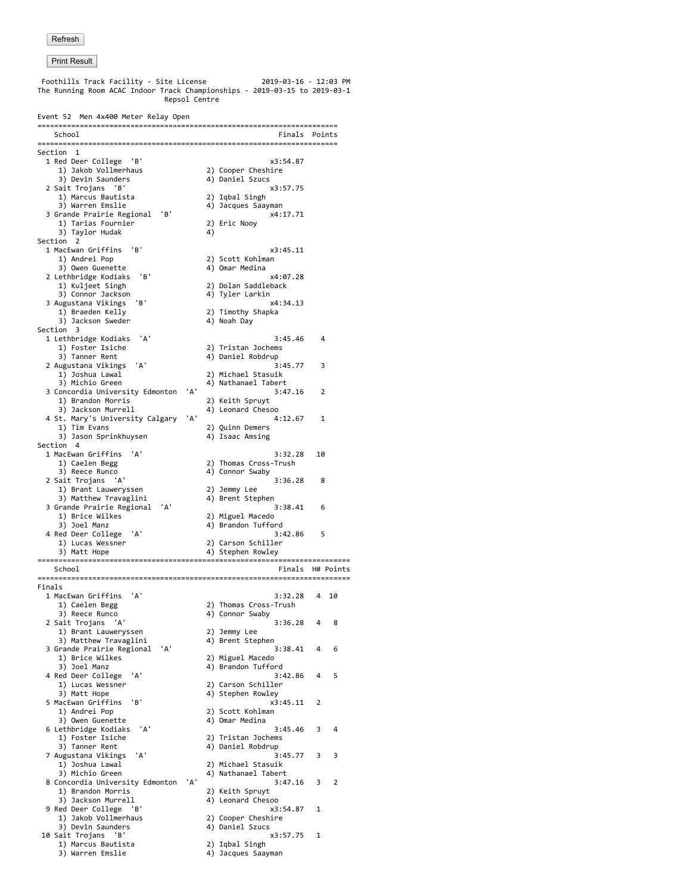**Print Result**  Foothills Track Facility - Site License 2019-03-16 - 12:03 PM The Running Room ACAC Indoor Track Championships - 2019-03-15 to 2019-03-1 Repsol Centre Event 52 Men 4x400 Meter Relay Open ======================================================================= School **Finals** Points ======================================================================= Section 1 1 Red Deer College 'B'  $x3:54.87$ <br>1) Jakob Vollmerhaus 2) Cooper Cheshire 1) Jakob Vollmerhaus 2) Cooper Cheshire<br>3) Devin Saunders 2004 (4) Daniel Szucs 3) Devin Saunders 2 Sait Trojans 'B' x3:57.75 1) Marcus Bautista<br>3) Warren Emslie 4) Jacques Saayman<br>x4:17.71 3 Grande Prairie Regional 'B' y proposed and the series of the series of the series of the series of the series of the series of the series of the series of the series of the series of the series of the series of the serie 1) Tarias Fournier (2)<br>3) Taylor Hudak (4) 3) Taylor Hudak 4) Section 2 1 MacEwan Griffins 'B' x3:45.11 1) Andrei Pop 2) Scott Kohlman<br>3) Owen Guenette 2004 4) Omar Medina 4) Omar Medina<br> $x4:07.28$ 2 Lethbridge Kodiaks 'B'<br>1) Kuljeet Singh 2) Dolan Saddleback<br>4) Tyler Larkin 3) Connor Jackson 4) Tyler Larkin 3 Augustana Vikings 'B'<br>1) Braeden Kelly 2) Timothy Shapka<br>4) Noah Day 3) Jackson Sweder Section 3 1 Lethbridge Kodiaks 'A' 3:45.46 4<br>1) Foster Isiche 2) Tristan Jochems 1) Foster Isiche 2) Tristan Jochems<br>3) Tanner Rent 4) Daniel Robdrup  $\begin{array}{c} \text{3:45.77} \\ \text{2:45.77} \end{array}$  2 Augustana Vikings 'A' 3:45.77 3 1) Joshua Lawal 2) Michael Stasuik 4) Nathanael Tabert 3 Concordia University Edmonton 'A' 3:47.16 2 1) Brandon Morris (2) Xeith Spruyt<br>3) Jackson Murrell (4) Leonard Chesoo 3) Jackson Murrell 4) Leonard Chesoo 4 St. Mary's University Calgary 'A'<br>1) Tim Evans 2) Quinn Demers 3) Jason Sprinkhuysen  $4$ <sup>2</sup> Isaac Amsing Section 4 1 MacEwan Griffins 'A' 3:32.28 10 2) Thomas Cross-Trush 3) Reece Runco 4) Connor Swaby 2 Sait Trojans 'A' 3:36.28 8 1) Brant Lauweryssen 3) Matthew Travaglini (4) Brent Stephen<br>Scande Prairie Regional (4) 3 Grande Prairie Regional 'A' 1) Brice Wilkes 2) Miguel Macedo 3) Joel Manz (2008) 4) Brandon Tufford 4 Red Deer College 'A' 3:42.86 5 1) Lucas Wessner 2) Carson Schiller 3) Matt Hope 4) Stephen Rowley ========================================================================== Finals H# Points ========================================================================== Finals 1 MacEwan Griffins 'A' 3:32.28 4 10<br>1) Caelen Begg 2) Thomas Cross-Trush 1) Caelen Begg 2) Thomas Cross-Trush<br>3) Reece Runco 2012 4) Connor Swaby 4) Connor Swaby<br> $3:36.28$  4 8 2 Sait Trojans 'A'<br>1) Brant Lauweryssen 2) Jemmy Lee 1) Brant Lauweryssen 2) Jemmy Lee<br>3) Matthew Travaglini 4) Brent Stephen 3) Matthew Travaglini (1998) And African Andrew Travaglini (1998) Applent Stephen<br>138.41 (1998) 3:38.41 (1998) 3:38.41 (1998) 3:38.41 (1998) 3:38.41 (1998) 3:38.41 (1998) 3:38.41 (1998) 3:38. 3 Grande Prairie Regional 'A'<br>1) Brice Wilkes 1) Brice Wilkes  $\begin{array}{ccc} 1 & 2) & \text{Miguel} & \text{Macedo} \\ 3) & \text{Joel } \text{Manz} & 4) & \text{Brandon } \text{Tuffor} \end{array}$  $\begin{array}{cccc} 4 \end{array}$  Brandon Tufford<br>3:42.86 4 5 4 Red Deer College 'A'<br>1) Lucas Wessner 1) Lucas Wessner 2) Carson Schiller<br>3) Matt Hope 24 Stephen Rowley 4) Stephen Rowley<br> $x3:45.11$  2 5 MacEwan Griffins 'B'<br>1) Andrei Pop

3) Jackson Murrell 4) Leonard Chesoo<br>Red Deer College 'B' 3:54.87 1

3) Devin Saunders (4) Daniel Szucs<br>
Sait Trojans 'B' (23:57.75 )

9 Red Deer College 'B' x3:<br>31.1 3akob Vollmerhaus (2) Cooper Cheshire

1) Marcus Bautista 2) Iqbal Singh

6 Lethbridge Kodiaks 'A'<br>1) Foster Isiche

7 Augustana Vikings 'A'<br>1) Joshua Lawal

1) Jakob Vollmerhaus

10 Sait Trojans 'B'

2) Scott Kohlman<br>4) Omar Medina 3) Owen Guenette 4) Omar Medina 1) Foster Isiche 2) Tristan Jochems<br>3) Tanner Rent 24) Daniel Robdrup 4) Daniel Robdrup<br> $3:45.77$   $3$   $3$  1) Joshua Lawal 2) Michael Stasuik 4) Nathanael Tabert<br> $3:47.16$  3 2 8 Concordia University Edmonton 'A' 3<br>1) Brandon Morris 2) Keith Spruyt 1) Brandon Morris <sup>2</sup> (2) Keith Spruyt<br>
3) Jackson Murrell (4) Leonard Chesoo

4) Jacques Saayman